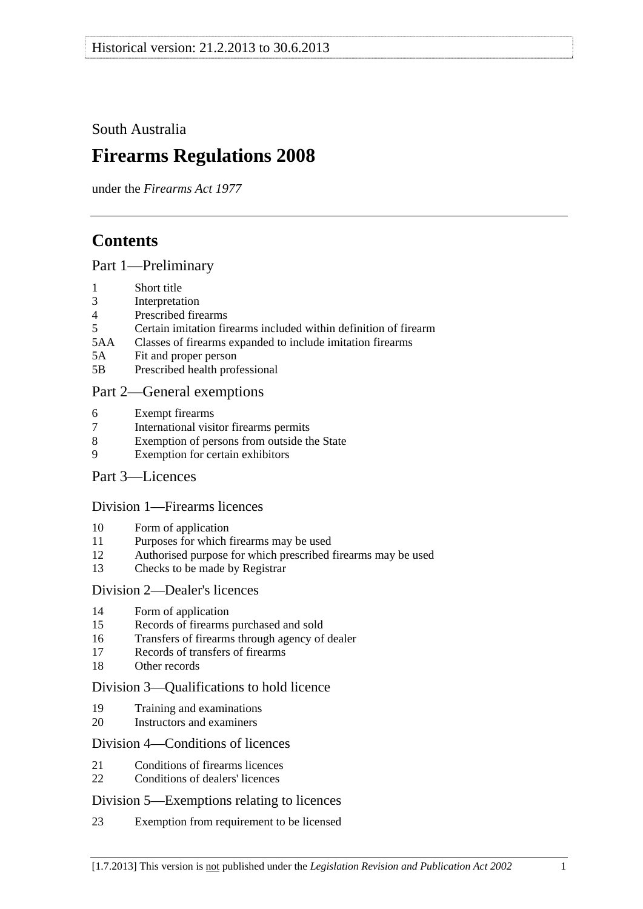<span id="page-0-0"></span>South Australia

# **Firearms Regulations 2008**

under the *Firearms Act 1977*

# **Contents**

[Part 1—Preliminary](#page-2-0)

- [1 Short title](#page-2-0)
- [3 Interpretation](#page-2-0)
- [4 Prescribed firearms](#page-3-0)
- [5 Certain imitation firearms included within definition of firearm](#page-3-0)
- [5AA Classes of firearms expanded to include imitation firearms](#page-4-0)
- [5A Fit and proper person](#page-4-0)
- [5B Prescribed health professional](#page-5-0)

### [Part 2—General exemptions](#page-5-0)

- [6 Exempt firearms](#page-5-0)
- [7 International visitor firearms permits](#page-6-0)
- [8 Exemption of persons from outside the State](#page-7-0)
- [9 Exemption for certain exhibitors](#page-7-0)
- [Part 3—Licences](#page-8-0)

#### [Division 1—Firearms licences](#page-8-0)

- [10 Form of application](#page-8-0)
- [11 Purposes for which firearms may be used](#page-8-0)
- [12 Authorised purpose for which prescribed firearms may be used](#page-9-0)
- [13 Checks to be made by Registrar](#page-9-0)

#### [Division 2—Dealer's licences](#page-9-0)

- [14 Form of application](#page-9-0)
- [15 Records of firearms purchased and sold](#page-9-0)
- [16 Transfers of firearms through agency of dealer](#page-9-0)
- [17 Records of transfers of firearms](#page-10-0)
- [18 Other records](#page-10-0)

#### [Division 3—Qualifications to hold licence](#page-11-0)

- [19 Training and examinations](#page-11-0)
- [20 Instructors and examiners](#page-11-0)

#### [Division 4—Conditions of licences](#page-12-0)

- [21 Conditions of firearms licences](#page-12-0)
- [22 Conditions of dealers' licences](#page-15-0)

#### [Division 5—Exemptions relating to licences](#page-16-0)

[23 Exemption from requirement to be licensed](#page-16-0)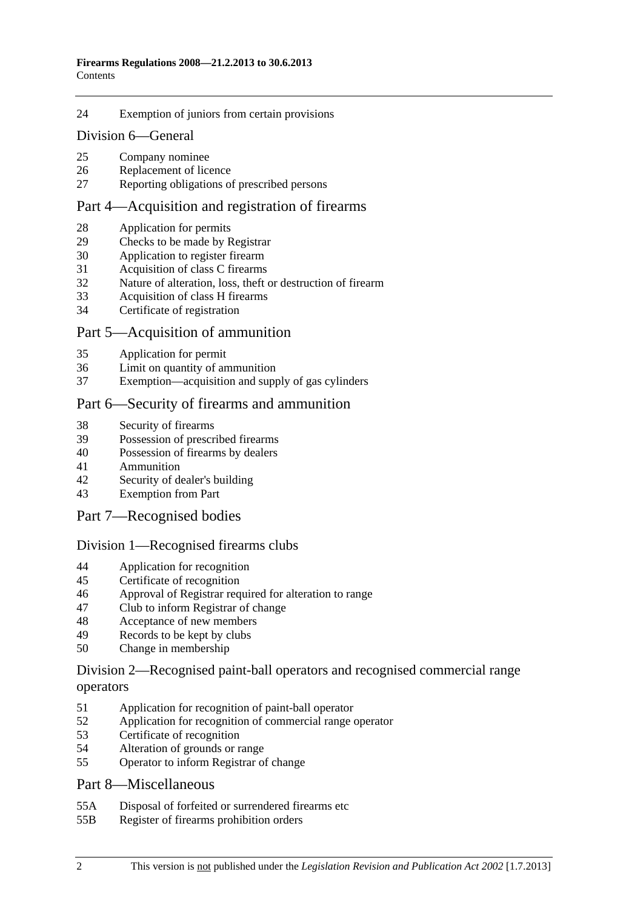#### [24 Exemption of juniors from certain provisions](#page-17-0)

#### [Division 6—General](#page-18-0)

- [25 Company nominee](#page-18-0)
- [26 Replacement of licence](#page-18-0)
- [27 Reporting obligations of prescribed persons](#page-18-0)

#### [Part 4—Acquisition and registration of firearms](#page-19-0)

- [28 Application for permits](#page-19-0)
- [29 Checks to be made by Registrar](#page-19-0)
- [30 Application to register firearm](#page-19-0)
- [31 Acquisition of class C firearms](#page-19-0)
- [32 Nature of alteration, loss, theft or destruction of firearm](#page-20-0)
- [33 Acquisition of class H firearms](#page-20-0)
- [34 Certificate of registration](#page-20-0)

#### [Part 5—Acquisition of ammunition](#page-21-0)

- [35 Application for permit](#page-21-0)
- [36 Limit on quantity of ammunition](#page-21-0)
- [37 Exemption—acquisition and supply of gas cylinders](#page-21-0)

#### [Part 6—Security of firearms and ammunition](#page-21-0)

- [38 Security of firearms](#page-21-0)
- [39 Possession of prescribed firearms](#page-22-0)
- [40 Possession of firearms by dealers](#page-22-0)
- [41 Ammunition](#page-22-0)
- [42 Security of dealer's building](#page-22-0)
- [43 Exemption from Part](#page-22-0)

#### [Part 7—Recognised bodies](#page-23-0)

#### [Division 1—Recognised firearms clubs](#page-23-0)

- [44 Application for recognition](#page-23-0)
- [45 Certificate of recognition](#page-23-0)
- [46 Approval of Registrar required for alteration to range](#page-23-0)
- [47 Club to inform Registrar of change](#page-24-0)
- [48 Acceptance of new members](#page-24-0)
- [49 Records to be kept by clubs](#page-24-0)
- [50 Change in membership](#page-25-0)

#### [Division 2—Recognised paint-ball operators and recognised commercial range](#page-25-0)  [operators](#page-25-0)

- [51 Application for recognition of paint-ball operator](#page-25-0)
- [52 Application for recognition of commercial range operator](#page-25-0)
- [53 Certificate of recognition](#page-26-0)
- [54 Alteration of grounds or range](#page-26-0)
- [55 Operator to inform Registrar of change](#page-26-0)

#### [Part 8—Miscellaneous](#page-27-0)

- [55A Disposal of forfeited or surrendered firearms etc](#page-27-0)
- [55B Register of firearms prohibition orders](#page-27-0)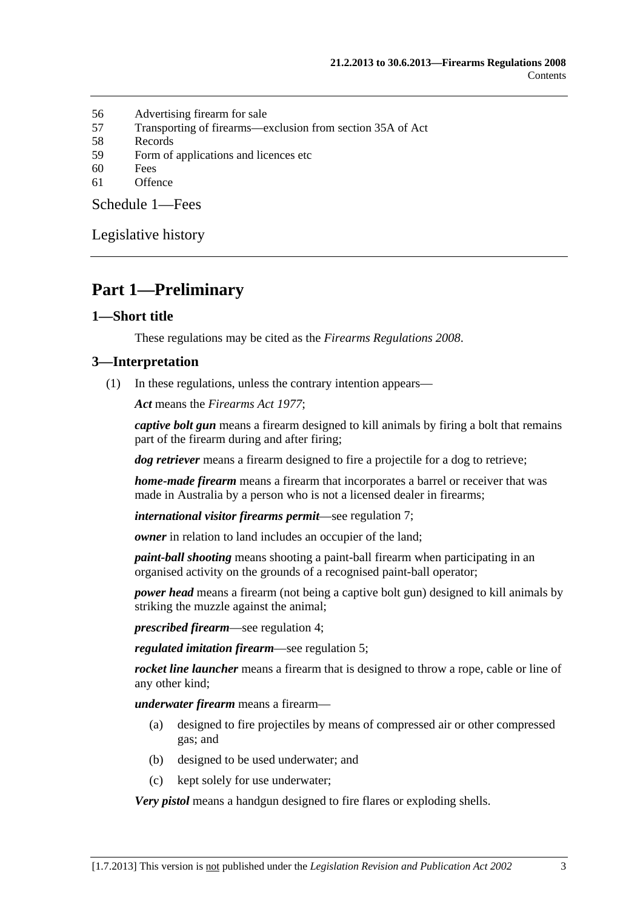- <span id="page-2-0"></span>[56 Advertising firearm for sale](#page-27-0)
- [57 Transporting of firearms—exclusion from section 35A of Act](#page-28-0)
- [58 Records](#page-28-0)
- [59 Form of applications and licences etc](#page-28-0)
- [60 Fees](#page-28-0)
- [61 Offence](#page-28-0)

[Schedule 1—Fees](#page-28-0) 

[Legislative history](#page-30-0) 

# **Part 1—Preliminary**

#### **1—Short title**

These regulations may be cited as the *Firearms Regulations 2008*.

#### **3—Interpretation**

(1) In these regulations, unless the contrary intention appears—

*Act* means the *[Firearms Act 1977](http://www.legislation.sa.gov.au/index.aspx?action=legref&type=act&legtitle=Firearms%20Act%201977)*;

*captive bolt gun* means a firearm designed to kill animals by firing a bolt that remains part of the firearm during and after firing;

*dog retriever* means a firearm designed to fire a projectile for a dog to retrieve;

*home-made firearm* means a firearm that incorporates a barrel or receiver that was made in Australia by a person who is not a licensed dealer in firearms;

*international visitor firearms permit*—see [regulation 7;](#page-6-0)

*owner* in relation to land includes an occupier of the land;

*paint-ball shooting* means shooting a paint-ball firearm when participating in an organised activity on the grounds of a recognised paint-ball operator;

*power head* means a firearm (not being a captive bolt gun) designed to kill animals by striking the muzzle against the animal;

*prescribed firearm*—see [regulation 4;](#page-3-0)

*regulated imitation firearm*—see [regulation 5](#page-0-0);

*rocket line launcher* means a firearm that is designed to throw a rope, cable or line of any other kind;

*underwater firearm* means a firearm—

- (a) designed to fire projectiles by means of compressed air or other compressed gas; and
- (b) designed to be used underwater; and
- (c) kept solely for use underwater;

*Very pistol* means a handgun designed to fire flares or exploding shells.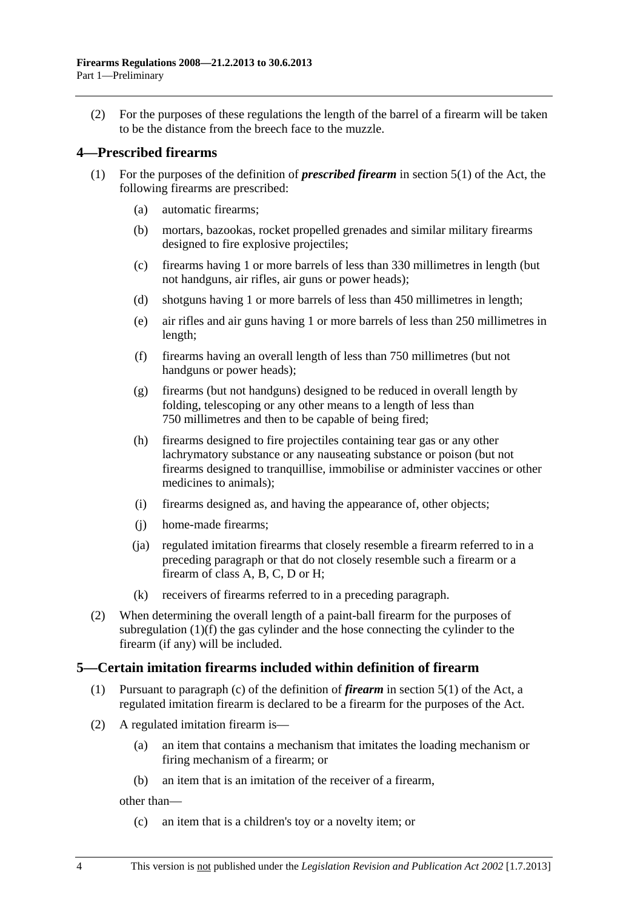<span id="page-3-0"></span> (2) For the purposes of these regulations the length of the barrel of a firearm will be taken to be the distance from the breech face to the muzzle.

#### **4—Prescribed firearms**

- (1) For the purposes of the definition of *prescribed firearm* in section 5(1) of the Act, the following firearms are prescribed:
	- (a) automatic firearms;
	- (b) mortars, bazookas, rocket propelled grenades and similar military firearms designed to fire explosive projectiles;
	- (c) firearms having 1 or more barrels of less than 330 millimetres in length (but not handguns, air rifles, air guns or power heads);
	- (d) shotguns having 1 or more barrels of less than 450 millimetres in length;
	- (e) air rifles and air guns having 1 or more barrels of less than 250 millimetres in length;
	- (f) firearms having an overall length of less than 750 millimetres (but not handguns or power heads);
	- (g) firearms (but not handguns) designed to be reduced in overall length by folding, telescoping or any other means to a length of less than 750 millimetres and then to be capable of being fired;
	- (h) firearms designed to fire projectiles containing tear gas or any other lachrymatory substance or any nauseating substance or poison (but not firearms designed to tranquillise, immobilise or administer vaccines or other medicines to animals);
	- (i) firearms designed as, and having the appearance of, other objects;
	- (j) home-made firearms;
	- (ja) regulated imitation firearms that closely resemble a firearm referred to in a preceding paragraph or that do not closely resemble such a firearm or a firearm of class A, B, C, D or H;
	- (k) receivers of firearms referred to in a preceding paragraph.
- (2) When determining the overall length of a paint-ball firearm for the purposes of [subregulation \(1\)\(f\)](#page-3-0) the gas cylinder and the hose connecting the cylinder to the firearm (if any) will be included.

#### **5—Certain imitation firearms included within definition of firearm**

- (1) Pursuant to paragraph (c) of the definition of *firearm* in section 5(1) of the Act, a regulated imitation firearm is declared to be a firearm for the purposes of the Act.
- (2) A regulated imitation firearm is—
	- (a) an item that contains a mechanism that imitates the loading mechanism or firing mechanism of a firearm; or
	- (b) an item that is an imitation of the receiver of a firearm,

other than—

(c) an item that is a children's toy or a novelty item; or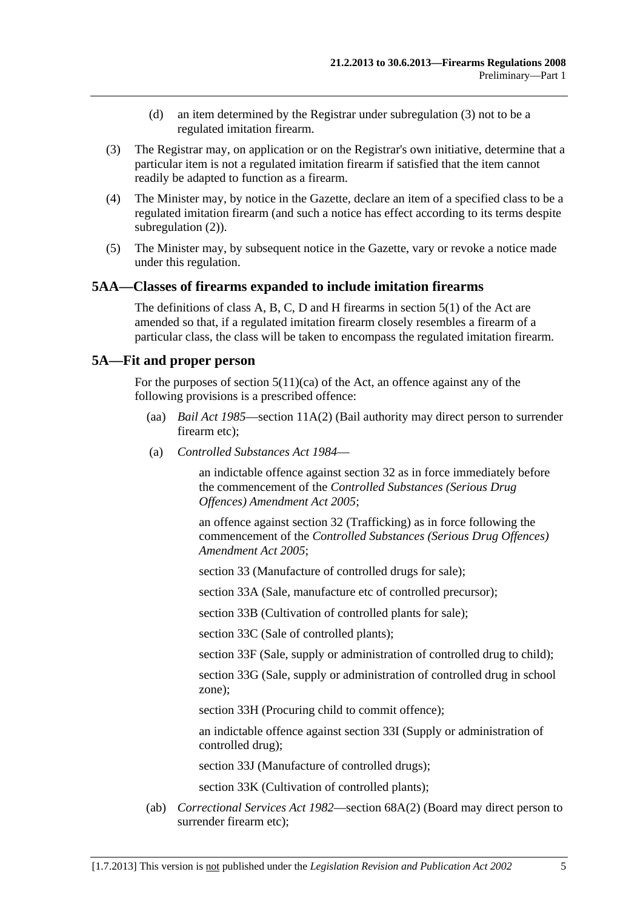- (d) an item determined by the Registrar under [subregulation \(3\)](#page-4-0) not to be a regulated imitation firearm.
- <span id="page-4-0"></span> (3) The Registrar may, on application or on the Registrar's own initiative, determine that a particular item is not a regulated imitation firearm if satisfied that the item cannot readily be adapted to function as a firearm.
- (4) The Minister may, by notice in the Gazette, declare an item of a specified class to be a regulated imitation firearm (and such a notice has effect according to its terms despite subregulation  $(2)$ ).
- (5) The Minister may, by subsequent notice in the Gazette, vary or revoke a notice made under this regulation.

#### **5AA—Classes of firearms expanded to include imitation firearms**

The definitions of class A, B, C, D and H firearms in section 5(1) of the Act are amended so that, if a regulated imitation firearm closely resembles a firearm of a particular class, the class will be taken to encompass the regulated imitation firearm.

#### **5A—Fit and proper person**

For the purposes of section  $5(11)(ca)$  of the Act, an offence against any of the following provisions is a prescribed offence:

- (aa) *[Bail Act 1985](http://www.legislation.sa.gov.au/index.aspx?action=legref&type=act&legtitle=Bail%20Act%201985)*—section 11A(2) (Bail authority may direct person to surrender firearm etc);
- (a) *[Controlled Substances Act 1984](http://www.legislation.sa.gov.au/index.aspx?action=legref&type=act&legtitle=Controlled%20Substances%20Act%201984)*—

an indictable offence against section 32 as in force immediately before the commencement of the *[Controlled Substances \(Serious Drug](http://www.legislation.sa.gov.au/index.aspx?action=legref&type=act&legtitle=Controlled%20Substances%20(Serious%20Drug%20Offences)%20Amendment%20Act%202005)  [Offences\) Amendment Act 2005](http://www.legislation.sa.gov.au/index.aspx?action=legref&type=act&legtitle=Controlled%20Substances%20(Serious%20Drug%20Offences)%20Amendment%20Act%202005)*;

an offence against section 32 (Trafficking) as in force following the commencement of the *[Controlled Substances \(Serious Drug Offences\)](http://www.legislation.sa.gov.au/index.aspx?action=legref&type=act&legtitle=Controlled%20Substances%20(Serious%20Drug%20Offences)%20Amendment%20Act%202005)  [Amendment Act 2005](http://www.legislation.sa.gov.au/index.aspx?action=legref&type=act&legtitle=Controlled%20Substances%20(Serious%20Drug%20Offences)%20Amendment%20Act%202005)*;

section 33 (Manufacture of controlled drugs for sale);

section 33A (Sale, manufacture etc of controlled precursor);

section 33B (Cultivation of controlled plants for sale);

section 33C (Sale of controlled plants);

section 33F (Sale, supply or administration of controlled drug to child);

section 33G (Sale, supply or administration of controlled drug in school zone);

section 33H (Procuring child to commit offence);

an indictable offence against section 33I (Supply or administration of controlled drug);

section 33J (Manufacture of controlled drugs);

section 33K (Cultivation of controlled plants);

 (ab) *[Correctional Services Act 1982](http://www.legislation.sa.gov.au/index.aspx?action=legref&type=act&legtitle=Correctional%20Services%20Act%201982)*—section 68A(2) (Board may direct person to surrender firearm etc);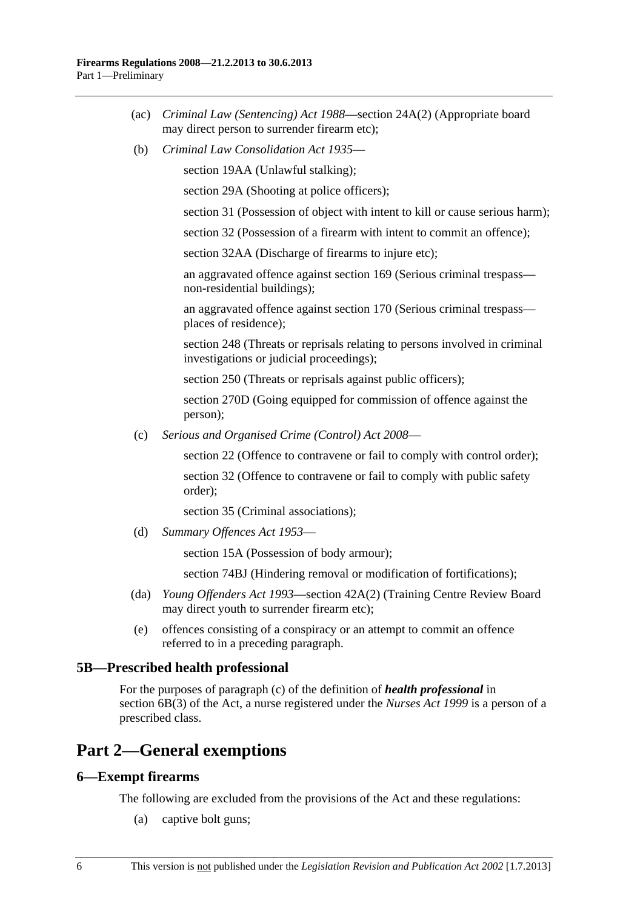- <span id="page-5-0"></span> (ac) *[Criminal Law \(Sentencing\) Act 1988](http://www.legislation.sa.gov.au/index.aspx?action=legref&type=act&legtitle=Criminal%20Law%20(Sentencing)%20Act%201988)*—section 24A(2) (Appropriate board may direct person to surrender firearm etc);
- (b) *[Criminal Law Consolidation Act 1935](http://www.legislation.sa.gov.au/index.aspx?action=legref&type=act&legtitle=Criminal%20Law%20Consolidation%20Act%201935)*—

section 19AA (Unlawful stalking);

section 29A (Shooting at police officers);

section 31 (Possession of object with intent to kill or cause serious harm);

section 32 (Possession of a firearm with intent to commit an offence);

section 32AA (Discharge of firearms to injure etc);

an aggravated offence against section 169 (Serious criminal trespass non-residential buildings);

an aggravated offence against section 170 (Serious criminal trespass places of residence);

section 248 (Threats or reprisals relating to persons involved in criminal investigations or judicial proceedings);

section 250 (Threats or reprisals against public officers);

section 270D (Going equipped for commission of offence against the person);

(c) *[Serious and Organised Crime \(Control\) Act 2008](http://www.legislation.sa.gov.au/index.aspx?action=legref&type=act&legtitle=Serious%20and%20Organised%20Crime%20(Control)%20Act%202008)*—

section 22 (Offence to contravene or fail to comply with control order);

section 32 (Offence to contravene or fail to comply with public safety order);

section 35 (Criminal associations);

(d) *[Summary Offences Act 1953](http://www.legislation.sa.gov.au/index.aspx?action=legref&type=act&legtitle=Summary%20Offences%20Act%201953)*—

section 15A (Possession of body armour);

section 74BJ (Hindering removal or modification of fortifications);

- (da) *[Young Offenders Act 1993](http://www.legislation.sa.gov.au/index.aspx?action=legref&type=act&legtitle=Young%20Offenders%20Act%201993)*—section 42A(2) (Training Centre Review Board may direct youth to surrender firearm etc);
- (e) offences consisting of a conspiracy or an attempt to commit an offence referred to in a preceding paragraph.

#### **5B—Prescribed health professional**

For the purposes of paragraph (c) of the definition of *health professional* in section 6B(3) of the Act, a nurse registered under the *[Nurses Act 1999](http://www.legislation.sa.gov.au/index.aspx?action=legref&type=act&legtitle=Nurses%20Act%201999)* is a person of a prescribed class.

## **Part 2—General exemptions**

#### **6—Exempt firearms**

The following are excluded from the provisions of the Act and these regulations:

(a) captive bolt guns;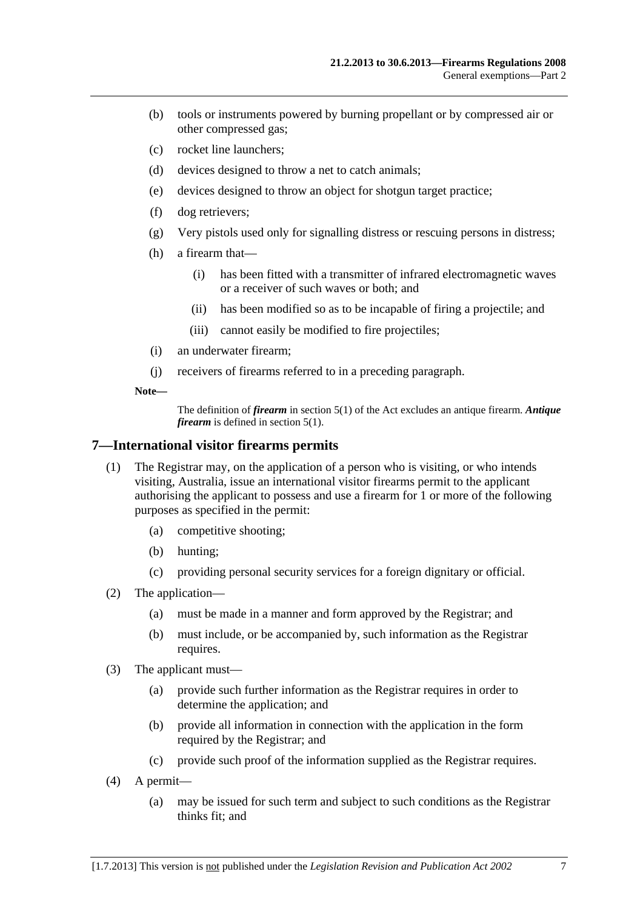- <span id="page-6-0"></span> (b) tools or instruments powered by burning propellant or by compressed air or other compressed gas;
- (c) rocket line launchers;
- (d) devices designed to throw a net to catch animals;
- (e) devices designed to throw an object for shotgun target practice;
- (f) dog retrievers;
- (g) Very pistols used only for signalling distress or rescuing persons in distress;
- (h) a firearm that—
	- (i) has been fitted with a transmitter of infrared electromagnetic waves or a receiver of such waves or both; and
	- (ii) has been modified so as to be incapable of firing a projectile; and
	- (iii) cannot easily be modified to fire projectiles;
- (i) an underwater firearm;
- (j) receivers of firearms referred to in a preceding paragraph.

**Note—** 

The definition of *firearm* in section 5(1) of the Act excludes an antique firearm. *Antique firearm* is defined in section 5(1).

#### **7—International visitor firearms permits**

- (1) The Registrar may, on the application of a person who is visiting, or who intends visiting, Australia, issue an international visitor firearms permit to the applicant authorising the applicant to possess and use a firearm for 1 or more of the following purposes as specified in the permit:
	- (a) competitive shooting;
	- (b) hunting;
	- (c) providing personal security services for a foreign dignitary or official.
- (2) The application—
	- (a) must be made in a manner and form approved by the Registrar; and
	- (b) must include, or be accompanied by, such information as the Registrar requires.
- (3) The applicant must—
	- (a) provide such further information as the Registrar requires in order to determine the application; and
	- (b) provide all information in connection with the application in the form required by the Registrar; and
	- (c) provide such proof of the information supplied as the Registrar requires.
- (4) A permit—
	- (a) may be issued for such term and subject to such conditions as the Registrar thinks fit; and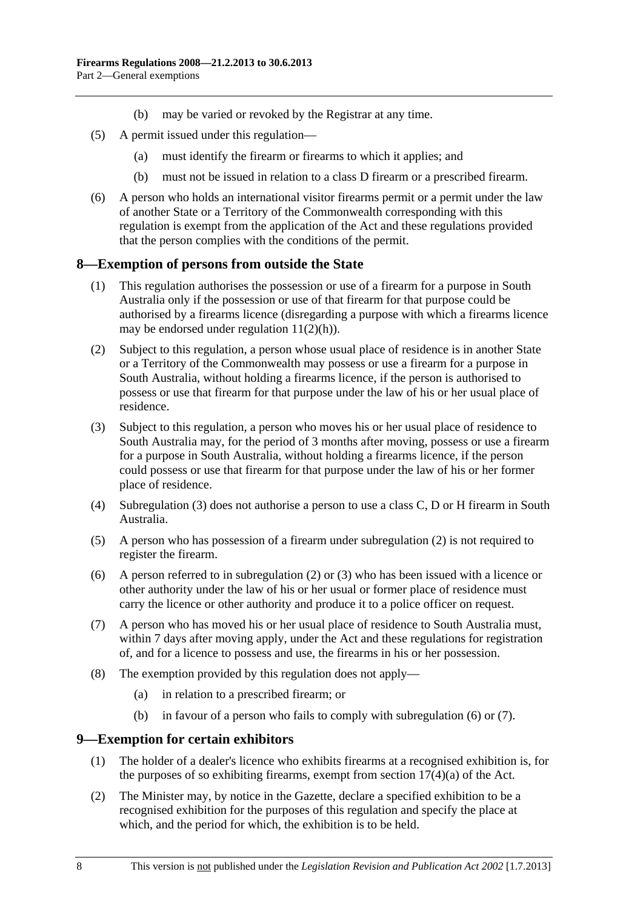- (b) may be varied or revoked by the Registrar at any time.
- <span id="page-7-0"></span> (5) A permit issued under this regulation—
	- (a) must identify the firearm or firearms to which it applies; and
	- (b) must not be issued in relation to a class D firearm or a prescribed firearm.
- (6) A person who holds an international visitor firearms permit or a permit under the law of another State or a Territory of the Commonwealth corresponding with this regulation is exempt from the application of the Act and these regulations provided that the person complies with the conditions of the permit.

#### **8—Exemption of persons from outside the State**

- (1) This regulation authorises the possession or use of a firearm for a purpose in South Australia only if the possession or use of that firearm for that purpose could be authorised by a firearms licence (disregarding a purpose with which a firearms licence may be endorsed under regulation  $11(2)(h)$ ).
- (2) Subject to this regulation, a person whose usual place of residence is in another State or a Territory of the Commonwealth may possess or use a firearm for a purpose in South Australia, without holding a firearms licence, if the person is authorised to possess or use that firearm for that purpose under the law of his or her usual place of residence.
- (3) Subject to this regulation, a person who moves his or her usual place of residence to South Australia may, for the period of 3 months after moving, possess or use a firearm for a purpose in South Australia, without holding a firearms licence, if the person could possess or use that firearm for that purpose under the law of his or her former place of residence.
- (4) [Subregulation \(3\)](#page-7-0) does not authorise a person to use a class C, D or H firearm in South Australia.
- (5) A person who has possession of a firearm under [subregulation \(2\)](#page-7-0) is not required to register the firearm.
- (6) A person referred to in [subregulation \(2\)](#page-7-0) or [\(3\)](#page-7-0) who has been issued with a licence or other authority under the law of his or her usual or former place of residence must carry the licence or other authority and produce it to a police officer on request.
- (7) A person who has moved his or her usual place of residence to South Australia must, within 7 days after moving apply, under the Act and these regulations for registration of, and for a licence to possess and use, the firearms in his or her possession.
- (8) The exemption provided by this regulation does not apply—
	- (a) in relation to a prescribed firearm; or
	- (b) in favour of a person who fails to comply with [subregulation \(6\)](#page-7-0) or [\(7\).](#page-7-0)

#### **9—Exemption for certain exhibitors**

- (1) The holder of a dealer's licence who exhibits firearms at a recognised exhibition is, for the purposes of so exhibiting firearms, exempt from section  $17(4)(a)$  of the Act.
- (2) The Minister may, by notice in the Gazette, declare a specified exhibition to be a recognised exhibition for the purposes of this regulation and specify the place at which, and the period for which, the exhibition is to be held.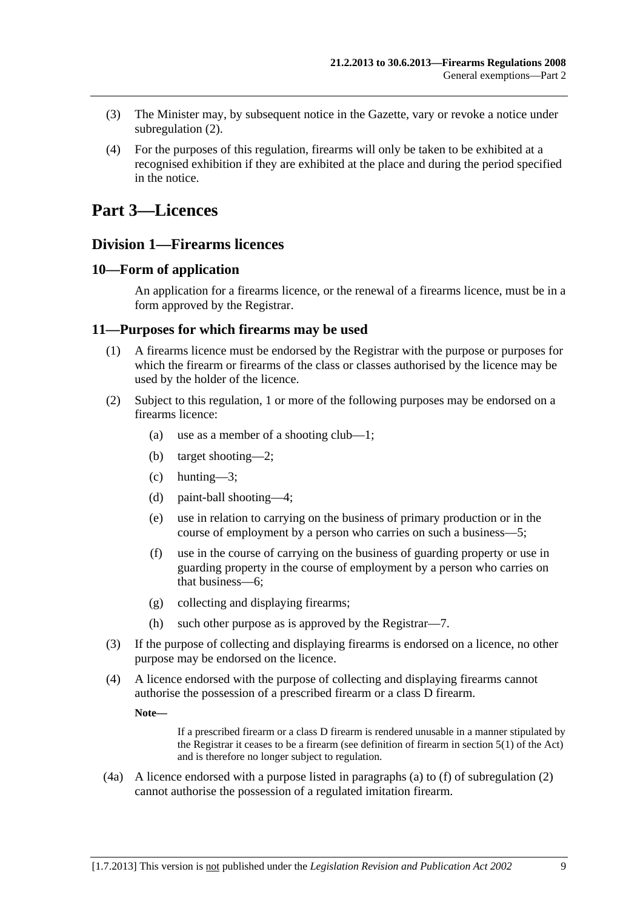- <span id="page-8-0"></span> (3) The Minister may, by subsequent notice in the Gazette, vary or revoke a notice under [subregulation \(2\).](#page-7-0)
- (4) For the purposes of this regulation, firearms will only be taken to be exhibited at a recognised exhibition if they are exhibited at the place and during the period specified in the notice.

# **Part 3—Licences**

### **Division 1—Firearms licences**

#### **10—Form of application**

An application for a firearms licence, or the renewal of a firearms licence, must be in a form approved by the Registrar.

#### **11—Purposes for which firearms may be used**

- (1) A firearms licence must be endorsed by the Registrar with the purpose or purposes for which the firearm or firearms of the class or classes authorised by the licence may be used by the holder of the licence.
- (2) Subject to this regulation, 1 or more of the following purposes may be endorsed on a firearms licence:
	- (a) use as a member of a shooting club—1;
	- (b) target shooting—2;
	- (c) hunting—3;
	- (d) paint-ball shooting—4;
	- (e) use in relation to carrying on the business of primary production or in the course of employment by a person who carries on such a business—5;
	- (f) use in the course of carrying on the business of guarding property or use in guarding property in the course of employment by a person who carries on that business—6;
	- (g) collecting and displaying firearms;
	- (h) such other purpose as is approved by the Registrar—7.
- (3) If the purpose of collecting and displaying firearms is endorsed on a licence, no other purpose may be endorsed on the licence.
- (4) A licence endorsed with the purpose of collecting and displaying firearms cannot authorise the possession of a prescribed firearm or a class D firearm.

**Note—** 

If a prescribed firearm or a class D firearm is rendered unusable in a manner stipulated by the Registrar it ceases to be a firearm (see definition of firearm in section 5(1) of the Act) and is therefore no longer subject to regulation.

 (4a) A licence endorsed with a purpose listed in paragraphs [\(a\)](#page-8-0) to [\(f\)](#page-8-0) of [subregulation \(2\)](#page-8-0)  cannot authorise the possession of a regulated imitation firearm.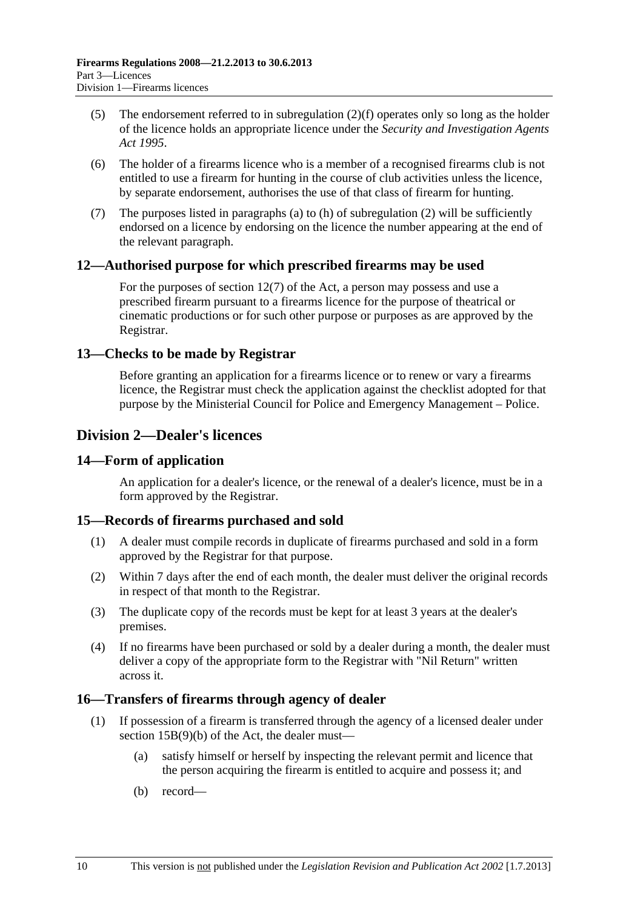- <span id="page-9-0"></span> (5) The endorsement referred to in [subregulation \(2\)\(f\)](#page-8-0) operates only so long as the holder of the licence holds an appropriate licence under the *[Security and Investigation Agents](http://www.legislation.sa.gov.au/index.aspx?action=legref&type=act&legtitle=Security%20and%20Investigation%20Agents%20Act%201995)  [Act 1995](http://www.legislation.sa.gov.au/index.aspx?action=legref&type=act&legtitle=Security%20and%20Investigation%20Agents%20Act%201995)*.
- (6) The holder of a firearms licence who is a member of a recognised firearms club is not entitled to use a firearm for hunting in the course of club activities unless the licence, by separate endorsement, authorises the use of that class of firearm for hunting.
- (7) The purposes listed in [paragraphs \(a\)](#page-8-0) to [\(h\)](#page-8-0) of [subregulation \(2\)](#page-8-0) will be sufficiently endorsed on a licence by endorsing on the licence the number appearing at the end of the relevant paragraph.

#### **12—Authorised purpose for which prescribed firearms may be used**

For the purposes of section 12(7) of the Act, a person may possess and use a prescribed firearm pursuant to a firearms licence for the purpose of theatrical or cinematic productions or for such other purpose or purposes as are approved by the Registrar.

#### **13—Checks to be made by Registrar**

Before granting an application for a firearms licence or to renew or vary a firearms licence, the Registrar must check the application against the checklist adopted for that purpose by the Ministerial Council for Police and Emergency Management – Police.

## **Division 2—Dealer's licences**

#### **14—Form of application**

An application for a dealer's licence, or the renewal of a dealer's licence, must be in a form approved by the Registrar.

#### **15—Records of firearms purchased and sold**

- (1) A dealer must compile records in duplicate of firearms purchased and sold in a form approved by the Registrar for that purpose.
- (2) Within 7 days after the end of each month, the dealer must deliver the original records in respect of that month to the Registrar.
- (3) The duplicate copy of the records must be kept for at least 3 years at the dealer's premises.
- (4) If no firearms have been purchased or sold by a dealer during a month, the dealer must deliver a copy of the appropriate form to the Registrar with "Nil Return" written across it.

#### **16—Transfers of firearms through agency of dealer**

- (1) If possession of a firearm is transferred through the agency of a licensed dealer under section 15B(9)(b) of the Act, the dealer must—
	- (a) satisfy himself or herself by inspecting the relevant permit and licence that the person acquiring the firearm is entitled to acquire and possess it; and
	- (b) record—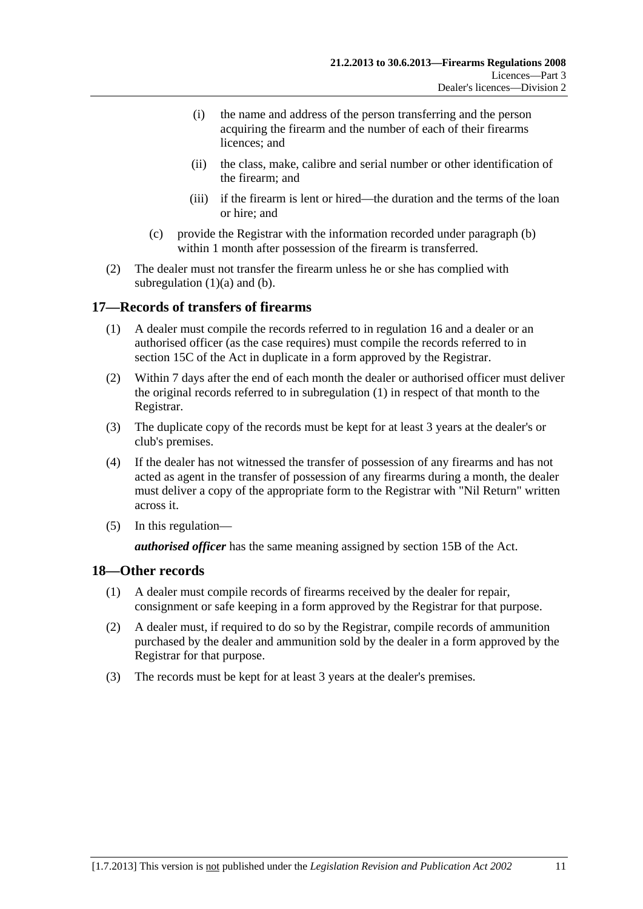- <span id="page-10-0"></span> (i) the name and address of the person transferring and the person acquiring the firearm and the number of each of their firearms licences; and
- (ii) the class, make, calibre and serial number or other identification of the firearm; and
- (iii) if the firearm is lent or hired—the duration and the terms of the loan or hire; and
- (c) provide the Registrar with the information recorded under [paragraph \(b\)](#page-9-0) within 1 month after possession of the firearm is transferred.
- (2) The dealer must not transfer the firearm unless he or she has complied with subregulation  $(1)(a)$  and  $(b)$ .

#### **17—Records of transfers of firearms**

- (1) A dealer must compile the records referred to in [regulation 16](#page-9-0) and a dealer or an authorised officer (as the case requires) must compile the records referred to in section 15C of the Act in duplicate in a form approved by the Registrar.
- (2) Within 7 days after the end of each month the dealer or authorised officer must deliver the original records referred to in [subregulation \(1\)](#page-10-0) in respect of that month to the Registrar.
- (3) The duplicate copy of the records must be kept for at least 3 years at the dealer's or club's premises.
- (4) If the dealer has not witnessed the transfer of possession of any firearms and has not acted as agent in the transfer of possession of any firearms during a month, the dealer must deliver a copy of the appropriate form to the Registrar with "Nil Return" written across it.
- (5) In this regulation—

*authorised officer* has the same meaning assigned by section 15B of the Act.

#### **18—Other records**

- (1) A dealer must compile records of firearms received by the dealer for repair, consignment or safe keeping in a form approved by the Registrar for that purpose.
- (2) A dealer must, if required to do so by the Registrar, compile records of ammunition purchased by the dealer and ammunition sold by the dealer in a form approved by the Registrar for that purpose.
- (3) The records must be kept for at least 3 years at the dealer's premises.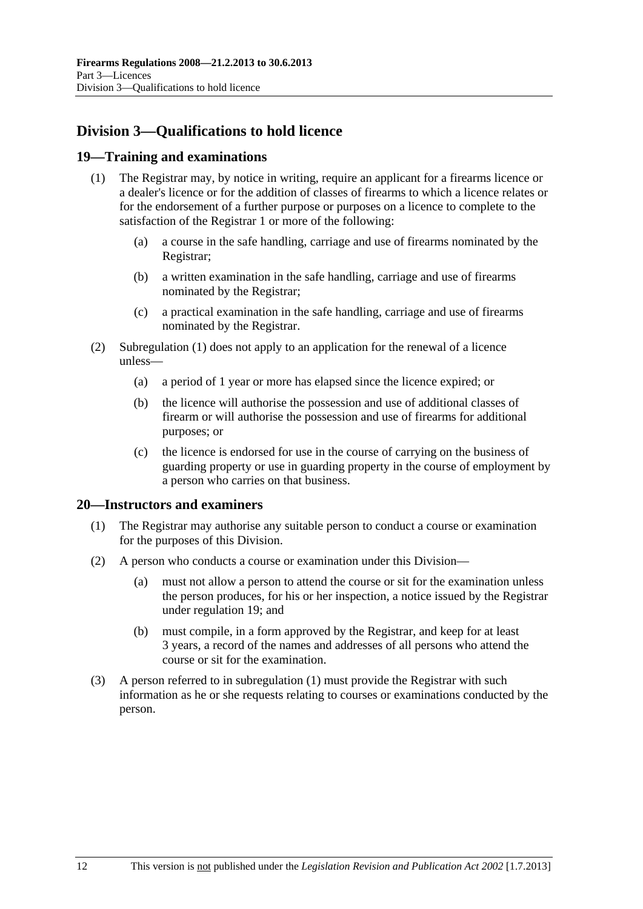## <span id="page-11-0"></span>**Division 3—Qualifications to hold licence**

#### **19—Training and examinations**

- (1) The Registrar may, by notice in writing, require an applicant for a firearms licence or a dealer's licence or for the addition of classes of firearms to which a licence relates or for the endorsement of a further purpose or purposes on a licence to complete to the satisfaction of the Registrar 1 or more of the following:
	- (a) a course in the safe handling, carriage and use of firearms nominated by the Registrar;
	- (b) a written examination in the safe handling, carriage and use of firearms nominated by the Registrar;
	- (c) a practical examination in the safe handling, carriage and use of firearms nominated by the Registrar.
- (2) [Subregulation \(1\)](#page-11-0) does not apply to an application for the renewal of a licence unless—
	- (a) a period of 1 year or more has elapsed since the licence expired; or
	- (b) the licence will authorise the possession and use of additional classes of firearm or will authorise the possession and use of firearms for additional purposes; or
	- (c) the licence is endorsed for use in the course of carrying on the business of guarding property or use in guarding property in the course of employment by a person who carries on that business.

#### **20—Instructors and examiners**

- (1) The Registrar may authorise any suitable person to conduct a course or examination for the purposes of this Division.
- (2) A person who conducts a course or examination under this Division—
	- (a) must not allow a person to attend the course or sit for the examination unless the person produces, for his or her inspection, a notice issued by the Registrar under [regulation 19](#page-11-0); and
	- (b) must compile, in a form approved by the Registrar, and keep for at least 3 years, a record of the names and addresses of all persons who attend the course or sit for the examination.
- (3) A person referred to in [subregulation \(1\)](#page-11-0) must provide the Registrar with such information as he or she requests relating to courses or examinations conducted by the person.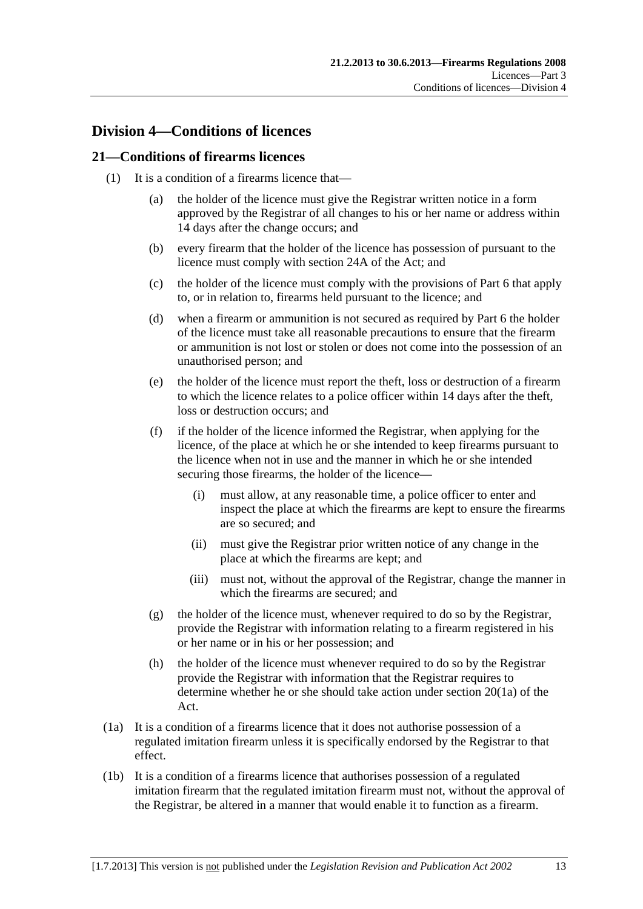## <span id="page-12-0"></span>**Division 4—Conditions of licences**

#### **21—Conditions of firearms licences**

- (1) It is a condition of a firearms licence that—
	- (a) the holder of the licence must give the Registrar written notice in a form approved by the Registrar of all changes to his or her name or address within 14 days after the change occurs; and
	- (b) every firearm that the holder of the licence has possession of pursuant to the licence must comply with section 24A of the Act; and
	- (c) the holder of the licence must comply with the provisions of [Part 6](#page-21-0) that apply to, or in relation to, firearms held pursuant to the licence; and
	- (d) when a firearm or ammunition is not secured as required by [Part 6](#page-21-0) the holder of the licence must take all reasonable precautions to ensure that the firearm or ammunition is not lost or stolen or does not come into the possession of an unauthorised person; and
	- (e) the holder of the licence must report the theft, loss or destruction of a firearm to which the licence relates to a police officer within 14 days after the theft, loss or destruction occurs; and
	- (f) if the holder of the licence informed the Registrar, when applying for the licence, of the place at which he or she intended to keep firearms pursuant to the licence when not in use and the manner in which he or she intended securing those firearms, the holder of the licence—
		- (i) must allow, at any reasonable time, a police officer to enter and inspect the place at which the firearms are kept to ensure the firearms are so secured; and
		- (ii) must give the Registrar prior written notice of any change in the place at which the firearms are kept; and
		- (iii) must not, without the approval of the Registrar, change the manner in which the firearms are secured; and
	- (g) the holder of the licence must, whenever required to do so by the Registrar, provide the Registrar with information relating to a firearm registered in his or her name or in his or her possession; and
	- (h) the holder of the licence must whenever required to do so by the Registrar provide the Registrar with information that the Registrar requires to determine whether he or she should take action under section 20(1a) of the Act.
- (1a) It is a condition of a firearms licence that it does not authorise possession of a regulated imitation firearm unless it is specifically endorsed by the Registrar to that effect.
- (1b) It is a condition of a firearms licence that authorises possession of a regulated imitation firearm that the regulated imitation firearm must not, without the approval of the Registrar, be altered in a manner that would enable it to function as a firearm.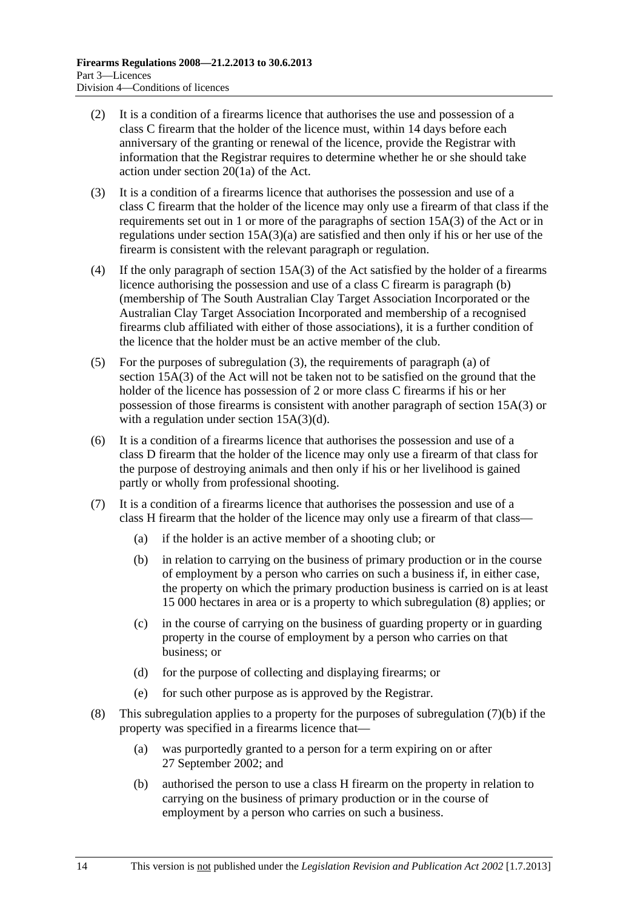- <span id="page-13-0"></span> (2) It is a condition of a firearms licence that authorises the use and possession of a class C firearm that the holder of the licence must, within 14 days before each anniversary of the granting or renewal of the licence, provide the Registrar with information that the Registrar requires to determine whether he or she should take action under section 20(1a) of the Act.
- (3) It is a condition of a firearms licence that authorises the possession and use of a class C firearm that the holder of the licence may only use a firearm of that class if the requirements set out in 1 or more of the paragraphs of section 15A(3) of the Act or in regulations under section 15A(3)(a) are satisfied and then only if his or her use of the firearm is consistent with the relevant paragraph or regulation.
- (4) If the only paragraph of section 15A(3) of the Act satisfied by the holder of a firearms licence authorising the possession and use of a class C firearm is paragraph (b) (membership of The South Australian Clay Target Association Incorporated or the Australian Clay Target Association Incorporated and membership of a recognised firearms club affiliated with either of those associations), it is a further condition of the licence that the holder must be an active member of the club.
- (5) For the purposes of [subregulation \(3\),](#page-13-0) the requirements of paragraph (a) of section 15A(3) of the Act will not be taken not to be satisfied on the ground that the holder of the licence has possession of 2 or more class C firearms if his or her possession of those firearms is consistent with another paragraph of section 15A(3) or with a regulation under section 15A(3)(d).
- (6) It is a condition of a firearms licence that authorises the possession and use of a class D firearm that the holder of the licence may only use a firearm of that class for the purpose of destroying animals and then only if his or her livelihood is gained partly or wholly from professional shooting.
- (7) It is a condition of a firearms licence that authorises the possession and use of a class H firearm that the holder of the licence may only use a firearm of that class—
	- (a) if the holder is an active member of a shooting club; or
	- (b) in relation to carrying on the business of primary production or in the course of employment by a person who carries on such a business if, in either case, the property on which the primary production business is carried on is at least 15 000 hectares in area or is a property to which [subregulation \(8\)](#page-13-0) applies; or
	- (c) in the course of carrying on the business of guarding property or in guarding property in the course of employment by a person who carries on that business; or
	- (d) for the purpose of collecting and displaying firearms; or
	- (e) for such other purpose as is approved by the Registrar.
- (8) This subregulation applies to a property for the purposes of [subregulation \(7\)\(b\)](#page-13-0) if the property was specified in a firearms licence that—
	- (a) was purportedly granted to a person for a term expiring on or after 27 September 2002; and
	- (b) authorised the person to use a class H firearm on the property in relation to carrying on the business of primary production or in the course of employment by a person who carries on such a business.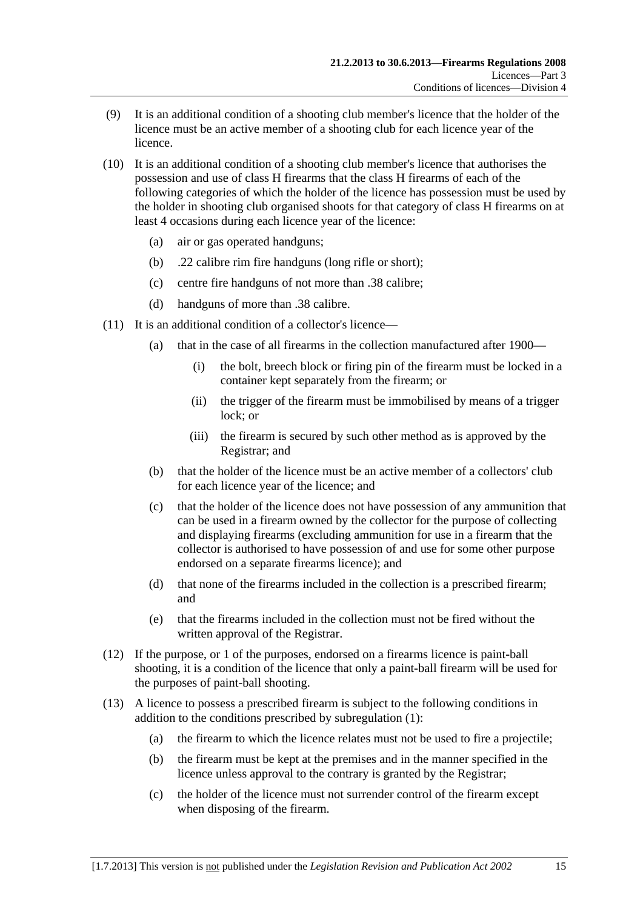- (9) It is an additional condition of a shooting club member's licence that the holder of the licence must be an active member of a shooting club for each licence year of the licence.
- (10) It is an additional condition of a shooting club member's licence that authorises the possession and use of class H firearms that the class H firearms of each of the following categories of which the holder of the licence has possession must be used by the holder in shooting club organised shoots for that category of class H firearms on at least 4 occasions during each licence year of the licence:
	- (a) air or gas operated handguns;
	- (b) .22 calibre rim fire handguns (long rifle or short);
	- (c) centre fire handguns of not more than .38 calibre;
	- (d) handguns of more than .38 calibre.
- (11) It is an additional condition of a collector's licence—
	- (a) that in the case of all firearms in the collection manufactured after 1900—
		- (i) the bolt, breech block or firing pin of the firearm must be locked in a container kept separately from the firearm; or
		- (ii) the trigger of the firearm must be immobilised by means of a trigger lock; or
		- (iii) the firearm is secured by such other method as is approved by the Registrar; and
	- (b) that the holder of the licence must be an active member of a collectors' club for each licence year of the licence; and
	- (c) that the holder of the licence does not have possession of any ammunition that can be used in a firearm owned by the collector for the purpose of collecting and displaying firearms (excluding ammunition for use in a firearm that the collector is authorised to have possession of and use for some other purpose endorsed on a separate firearms licence); and
	- (d) that none of the firearms included in the collection is a prescribed firearm; and
	- (e) that the firearms included in the collection must not be fired without the written approval of the Registrar.
- (12) If the purpose, or 1 of the purposes, endorsed on a firearms licence is paint-ball shooting, it is a condition of the licence that only a paint-ball firearm will be used for the purposes of paint-ball shooting.
- (13) A licence to possess a prescribed firearm is subject to the following conditions in addition to the conditions prescribed by [subregulation \(1\):](#page-12-0)
	- (a) the firearm to which the licence relates must not be used to fire a projectile;
	- (b) the firearm must be kept at the premises and in the manner specified in the licence unless approval to the contrary is granted by the Registrar;
	- (c) the holder of the licence must not surrender control of the firearm except when disposing of the firearm.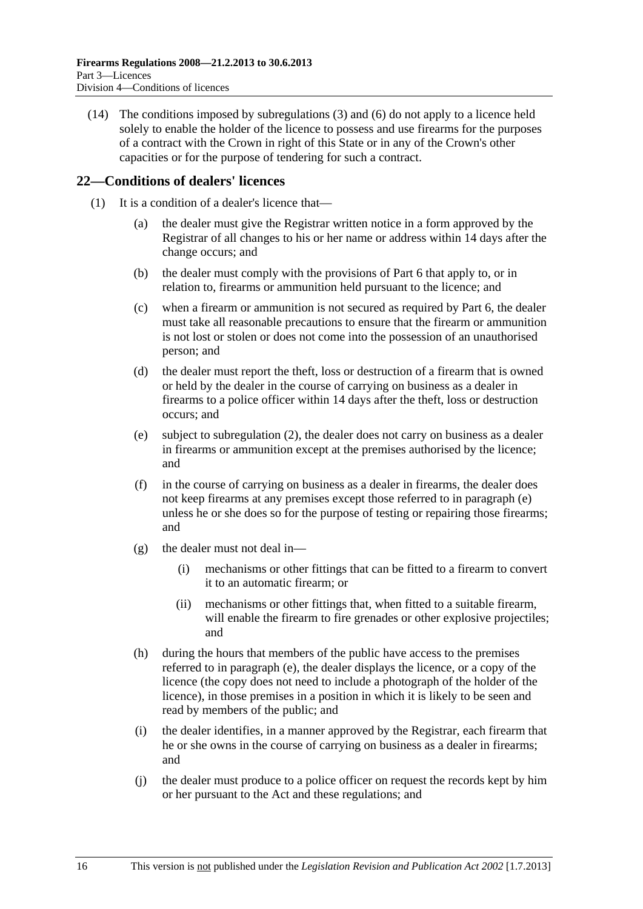<span id="page-15-0"></span> (14) The conditions imposed by [subregulations \(3\)](#page-13-0) and [\(6\)](#page-13-0) do not apply to a licence held solely to enable the holder of the licence to possess and use firearms for the purposes of a contract with the Crown in right of this State or in any of the Crown's other capacities or for the purpose of tendering for such a contract.

#### **22—Conditions of dealers' licences**

- (1) It is a condition of a dealer's licence that—
	- (a) the dealer must give the Registrar written notice in a form approved by the Registrar of all changes to his or her name or address within 14 days after the change occurs; and
	- (b) the dealer must comply with the provisions of [Part 6](#page-21-0) that apply to, or in relation to, firearms or ammunition held pursuant to the licence; and
	- (c) when a firearm or ammunition is not secured as required by [Part 6,](#page-21-0) the dealer must take all reasonable precautions to ensure that the firearm or ammunition is not lost or stolen or does not come into the possession of an unauthorised person; and
	- (d) the dealer must report the theft, loss or destruction of a firearm that is owned or held by the dealer in the course of carrying on business as a dealer in firearms to a police officer within 14 days after the theft, loss or destruction occurs; and
	- (e) subject to [subregulation \(2\)](#page-16-0), the dealer does not carry on business as a dealer in firearms or ammunition except at the premises authorised by the licence; and
	- (f) in the course of carrying on business as a dealer in firearms, the dealer does not keep firearms at any premises except those referred to in [paragraph \(e\)](#page-15-0)  unless he or she does so for the purpose of testing or repairing those firearms; and
	- (g) the dealer must not deal in—
		- (i) mechanisms or other fittings that can be fitted to a firearm to convert it to an automatic firearm; or
		- (ii) mechanisms or other fittings that, when fitted to a suitable firearm, will enable the firearm to fire grenades or other explosive projectiles; and
	- (h) during the hours that members of the public have access to the premises referred to in [paragraph \(e\),](#page-15-0) the dealer displays the licence, or a copy of the licence (the copy does not need to include a photograph of the holder of the licence), in those premises in a position in which it is likely to be seen and read by members of the public; and
	- (i) the dealer identifies, in a manner approved by the Registrar, each firearm that he or she owns in the course of carrying on business as a dealer in firearms; and
	- (j) the dealer must produce to a police officer on request the records kept by him or her pursuant to the Act and these regulations; and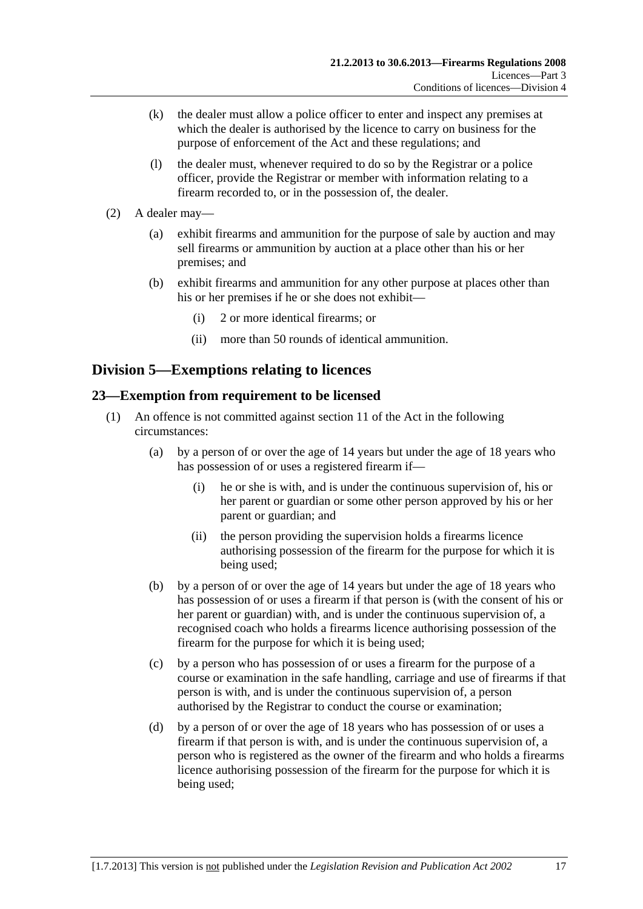- <span id="page-16-0"></span> (k) the dealer must allow a police officer to enter and inspect any premises at which the dealer is authorised by the licence to carry on business for the purpose of enforcement of the Act and these regulations; and
- (l) the dealer must, whenever required to do so by the Registrar or a police officer, provide the Registrar or member with information relating to a firearm recorded to, or in the possession of, the dealer.
- (2) A dealer may—
	- (a) exhibit firearms and ammunition for the purpose of sale by auction and may sell firearms or ammunition by auction at a place other than his or her premises; and
	- (b) exhibit firearms and ammunition for any other purpose at places other than his or her premises if he or she does not exhibit—
		- (i) 2 or more identical firearms; or
		- (ii) more than 50 rounds of identical ammunition.

## **Division 5—Exemptions relating to licences**

#### **23—Exemption from requirement to be licensed**

- (1) An offence is not committed against section 11 of the Act in the following circumstances:
	- (a) by a person of or over the age of 14 years but under the age of 18 years who has possession of or uses a registered firearm if—
		- (i) he or she is with, and is under the continuous supervision of, his or her parent or guardian or some other person approved by his or her parent or guardian; and
		- (ii) the person providing the supervision holds a firearms licence authorising possession of the firearm for the purpose for which it is being used;
	- (b) by a person of or over the age of 14 years but under the age of 18 years who has possession of or uses a firearm if that person is (with the consent of his or her parent or guardian) with, and is under the continuous supervision of, a recognised coach who holds a firearms licence authorising possession of the firearm for the purpose for which it is being used;
	- (c) by a person who has possession of or uses a firearm for the purpose of a course or examination in the safe handling, carriage and use of firearms if that person is with, and is under the continuous supervision of, a person authorised by the Registrar to conduct the course or examination;
	- (d) by a person of or over the age of 18 years who has possession of or uses a firearm if that person is with, and is under the continuous supervision of, a person who is registered as the owner of the firearm and who holds a firearms licence authorising possession of the firearm for the purpose for which it is being used;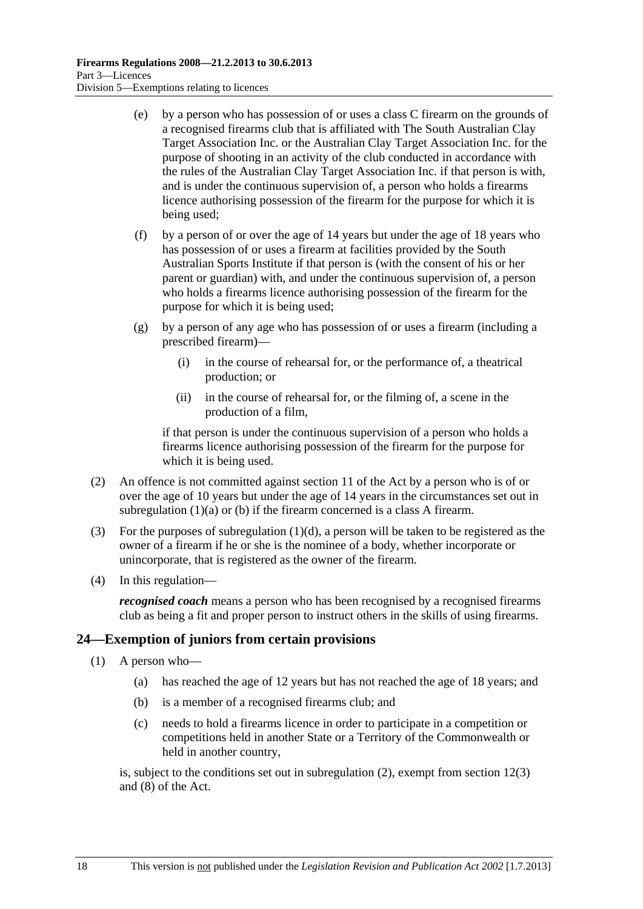- <span id="page-17-0"></span> (e) by a person who has possession of or uses a class C firearm on the grounds of a recognised firearms club that is affiliated with The South Australian Clay Target Association Inc. or the Australian Clay Target Association Inc. for the purpose of shooting in an activity of the club conducted in accordance with the rules of the Australian Clay Target Association Inc. if that person is with, and is under the continuous supervision of, a person who holds a firearms licence authorising possession of the firearm for the purpose for which it is being used;
- (f) by a person of or over the age of 14 years but under the age of 18 years who has possession of or uses a firearm at facilities provided by the South Australian Sports Institute if that person is (with the consent of his or her parent or guardian) with, and under the continuous supervision of, a person who holds a firearms licence authorising possession of the firearm for the purpose for which it is being used;
- (g) by a person of any age who has possession of or uses a firearm (including a prescribed firearm)—
	- (i) in the course of rehearsal for, or the performance of, a theatrical production; or
	- (ii) in the course of rehearsal for, or the filming of, a scene in the production of a film,

if that person is under the continuous supervision of a person who holds a firearms licence authorising possession of the firearm for the purpose for which it is being used.

- (2) An offence is not committed against section 11 of the Act by a person who is of or over the age of 10 years but under the age of 14 years in the circumstances set out in [subregulation \(1\)\(a\)](#page-16-0) or [\(b\)](#page-16-0) if the firearm concerned is a class A firearm.
- (3) For the purposes of subregulation  $(1)(d)$ , a person will be taken to be registered as the owner of a firearm if he or she is the nominee of a body, whether incorporate or unincorporate, that is registered as the owner of the firearm.
- (4) In this regulation—

*recognised coach* means a person who has been recognised by a recognised firearms club as being a fit and proper person to instruct others in the skills of using firearms.

#### **24—Exemption of juniors from certain provisions**

- (1) A person who—
	- (a) has reached the age of 12 years but has not reached the age of 18 years; and
	- (b) is a member of a recognised firearms club; and
	- (c) needs to hold a firearms licence in order to participate in a competition or competitions held in another State or a Territory of the Commonwealth or held in another country,

is, subject to the conditions set out in [subregulation \(2\)](#page-18-0), exempt from section 12(3) and (8) of the Act.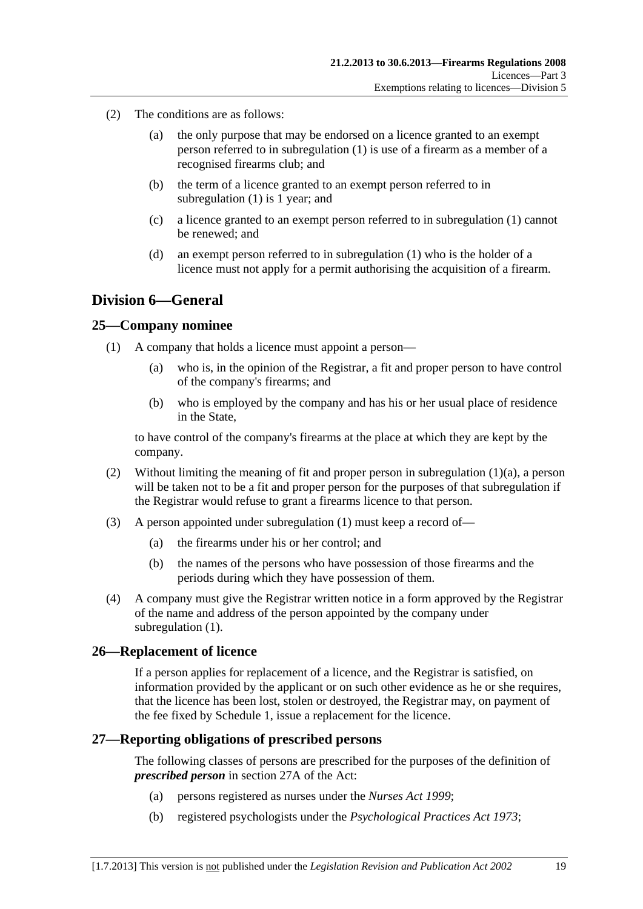- <span id="page-18-0"></span> (2) The conditions are as follows:
	- (a) the only purpose that may be endorsed on a licence granted to an exempt person referred to in [subregulation \(1\)](#page-17-0) is use of a firearm as a member of a recognised firearms club; and
	- (b) the term of a licence granted to an exempt person referred to in [subregulation \(1\)](#page-17-0) is 1 year; and
	- (c) a licence granted to an exempt person referred to in [subregulation \(1\)](#page-17-0) cannot be renewed; and
	- (d) an exempt person referred to in [subregulation \(1\)](#page-17-0) who is the holder of a licence must not apply for a permit authorising the acquisition of a firearm.

## **Division 6—General**

#### **25—Company nominee**

- (1) A company that holds a licence must appoint a person—
	- (a) who is, in the opinion of the Registrar, a fit and proper person to have control of the company's firearms; and
	- (b) who is employed by the company and has his or her usual place of residence in the State,

to have control of the company's firearms at the place at which they are kept by the company.

- (2) Without limiting the meaning of fit and proper person in [subregulation \(1\)\(a\),](#page-18-0) a person will be taken not to be a fit and proper person for the purposes of that subregulation if the Registrar would refuse to grant a firearms licence to that person.
- (3) A person appointed under [subregulation \(1\)](#page-18-0) must keep a record of—
	- (a) the firearms under his or her control; and
	- (b) the names of the persons who have possession of those firearms and the periods during which they have possession of them.
- (4) A company must give the Registrar written notice in a form approved by the Registrar of the name and address of the person appointed by the company under subregulation  $(1)$ .

#### **26—Replacement of licence**

If a person applies for replacement of a licence, and the Registrar is satisfied, on information provided by the applicant or on such other evidence as he or she requires, that the licence has been lost, stolen or destroyed, the Registrar may, on payment of the fee fixed by [Schedule 1](#page-28-0), issue a replacement for the licence.

#### **27—Reporting obligations of prescribed persons**

The following classes of persons are prescribed for the purposes of the definition of *prescribed person* in section 27A of the Act:

- (a) persons registered as nurses under the *[Nurses Act 1999](http://www.legislation.sa.gov.au/index.aspx?action=legref&type=act&legtitle=Nurses%20Act%201999)*;
- (b) registered psychologists under the *[Psychological Practices Act 1973](http://www.legislation.sa.gov.au/index.aspx?action=legref&type=act&legtitle=Psychological%20Practices%20Act%201973)*;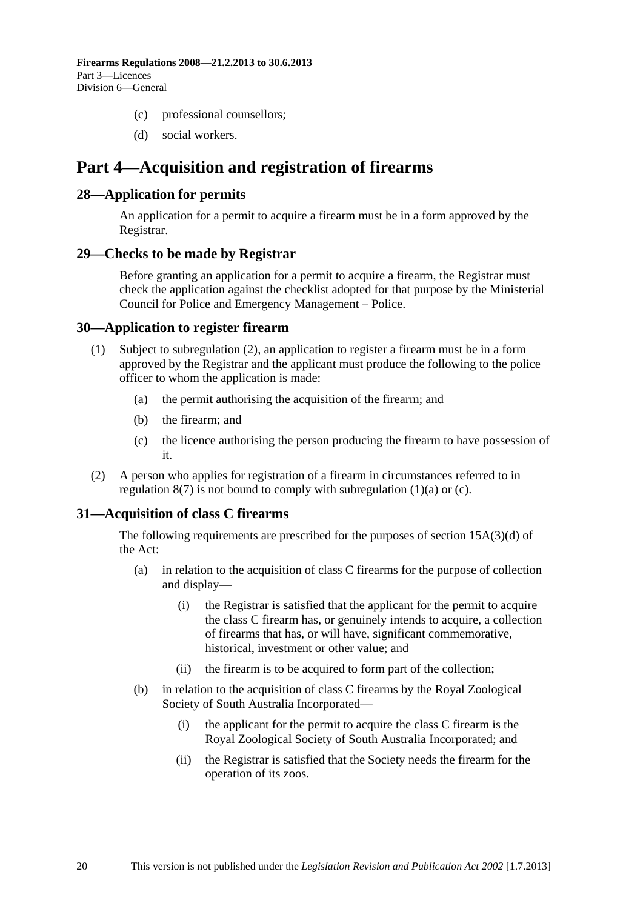- <span id="page-19-0"></span>(c) professional counsellors;
- (d) social workers.

# **Part 4—Acquisition and registration of firearms**

#### **28—Application for permits**

An application for a permit to acquire a firearm must be in a form approved by the Registrar.

#### **29—Checks to be made by Registrar**

Before granting an application for a permit to acquire a firearm, the Registrar must check the application against the checklist adopted for that purpose by the Ministerial Council for Police and Emergency Management – Police.

#### **30—Application to register firearm**

- (1) Subject to [subregulation \(2\),](#page-19-0) an application to register a firearm must be in a form approved by the Registrar and the applicant must produce the following to the police officer to whom the application is made:
	- (a) the permit authorising the acquisition of the firearm; and
	- (b) the firearm; and
	- (c) the licence authorising the person producing the firearm to have possession of it.
- (2) A person who applies for registration of a firearm in circumstances referred to in regulation  $8(7)$  is not bound to comply with subregulation  $(1)(a)$  or  $(c)$ .

#### **31—Acquisition of class C firearms**

The following requirements are prescribed for the purposes of section 15A(3)(d) of the Act:

- (a) in relation to the acquisition of class C firearms for the purpose of collection and display—
	- (i) the Registrar is satisfied that the applicant for the permit to acquire the class C firearm has, or genuinely intends to acquire, a collection of firearms that has, or will have, significant commemorative, historical, investment or other value; and
	- (ii) the firearm is to be acquired to form part of the collection;
- (b) in relation to the acquisition of class C firearms by the Royal Zoological Society of South Australia Incorporated—
	- (i) the applicant for the permit to acquire the class C firearm is the Royal Zoological Society of South Australia Incorporated; and
	- (ii) the Registrar is satisfied that the Society needs the firearm for the operation of its zoos.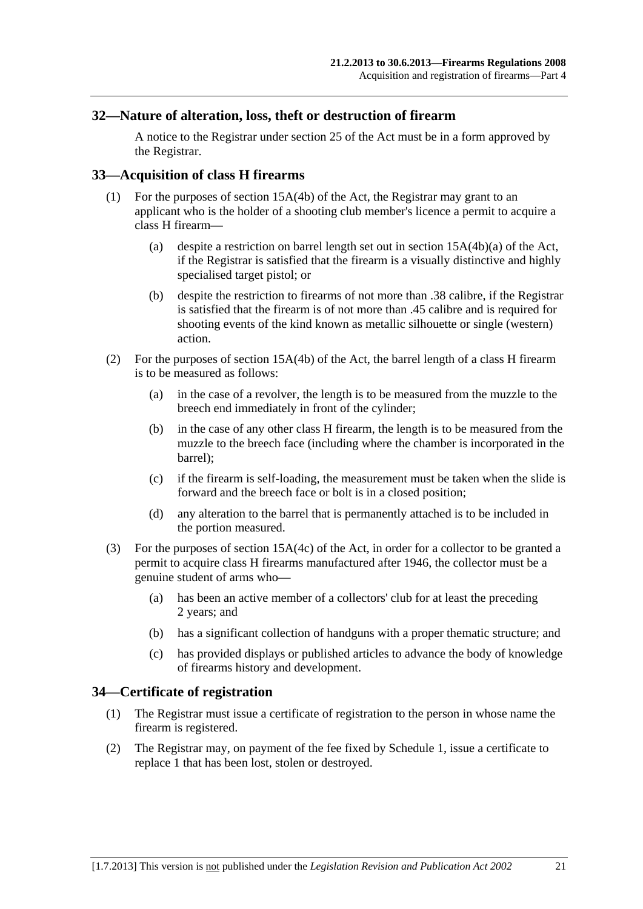#### <span id="page-20-0"></span>**32—Nature of alteration, loss, theft or destruction of firearm**

A notice to the Registrar under section 25 of the Act must be in a form approved by the Registrar.

#### **33—Acquisition of class H firearms**

- (1) For the purposes of section 15A(4b) of the Act, the Registrar may grant to an applicant who is the holder of a shooting club member's licence a permit to acquire a class H firearm—
	- (a) despite a restriction on barrel length set out in section 15A(4b)(a) of the Act, if the Registrar is satisfied that the firearm is a visually distinctive and highly specialised target pistol; or
	- (b) despite the restriction to firearms of not more than .38 calibre, if the Registrar is satisfied that the firearm is of not more than .45 calibre and is required for shooting events of the kind known as metallic silhouette or single (western) action.
- (2) For the purposes of section 15A(4b) of the Act, the barrel length of a class H firearm is to be measured as follows:
	- (a) in the case of a revolver, the length is to be measured from the muzzle to the breech end immediately in front of the cylinder;
	- (b) in the case of any other class H firearm, the length is to be measured from the muzzle to the breech face (including where the chamber is incorporated in the barrel);
	- (c) if the firearm is self-loading, the measurement must be taken when the slide is forward and the breech face or bolt is in a closed position;
	- (d) any alteration to the barrel that is permanently attached is to be included in the portion measured.
- (3) For the purposes of section 15A(4c) of the Act, in order for a collector to be granted a permit to acquire class H firearms manufactured after 1946, the collector must be a genuine student of arms who—
	- (a) has been an active member of a collectors' club for at least the preceding 2 years; and
	- (b) has a significant collection of handguns with a proper thematic structure; and
	- (c) has provided displays or published articles to advance the body of knowledge of firearms history and development.

#### **34—Certificate of registration**

- (1) The Registrar must issue a certificate of registration to the person in whose name the firearm is registered.
- (2) The Registrar may, on payment of the fee fixed by [Schedule 1,](#page-28-0) issue a certificate to replace 1 that has been lost, stolen or destroyed.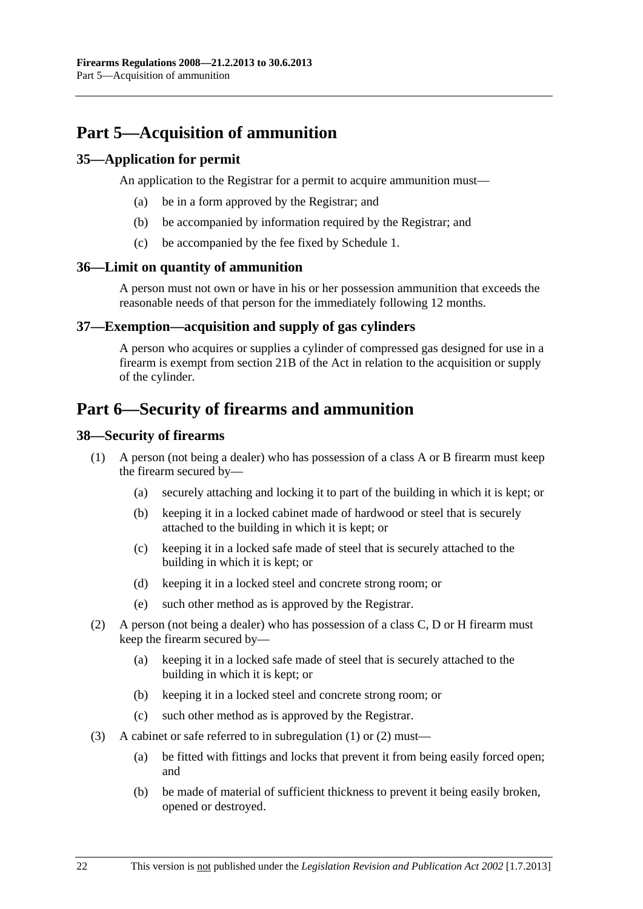# <span id="page-21-0"></span>**Part 5—Acquisition of ammunition**

#### **35—Application for permit**

An application to the Registrar for a permit to acquire ammunition must—

- (a) be in a form approved by the Registrar; and
- (b) be accompanied by information required by the Registrar; and
- (c) be accompanied by the fee fixed by [Schedule 1.](#page-28-0)

#### **36—Limit on quantity of ammunition**

A person must not own or have in his or her possession ammunition that exceeds the reasonable needs of that person for the immediately following 12 months.

#### **37—Exemption—acquisition and supply of gas cylinders**

A person who acquires or supplies a cylinder of compressed gas designed for use in a firearm is exempt from section 21B of the Act in relation to the acquisition or supply of the cylinder.

## **Part 6—Security of firearms and ammunition**

#### **38—Security of firearms**

- (1) A person (not being a dealer) who has possession of a class A or B firearm must keep the firearm secured by—
	- (a) securely attaching and locking it to part of the building in which it is kept; or
	- (b) keeping it in a locked cabinet made of hardwood or steel that is securely attached to the building in which it is kept; or
	- (c) keeping it in a locked safe made of steel that is securely attached to the building in which it is kept; or
	- (d) keeping it in a locked steel and concrete strong room; or
	- (e) such other method as is approved by the Registrar.
- (2) A person (not being a dealer) who has possession of a class C, D or H firearm must keep the firearm secured by—
	- (a) keeping it in a locked safe made of steel that is securely attached to the building in which it is kept; or
	- (b) keeping it in a locked steel and concrete strong room; or
	- (c) such other method as is approved by the Registrar.
- (3) A cabinet or safe referred to in [subregulation \(1\)](#page-21-0) or [\(2\)](#page-21-0) must—
	- (a) be fitted with fittings and locks that prevent it from being easily forced open; and
	- (b) be made of material of sufficient thickness to prevent it being easily broken, opened or destroyed.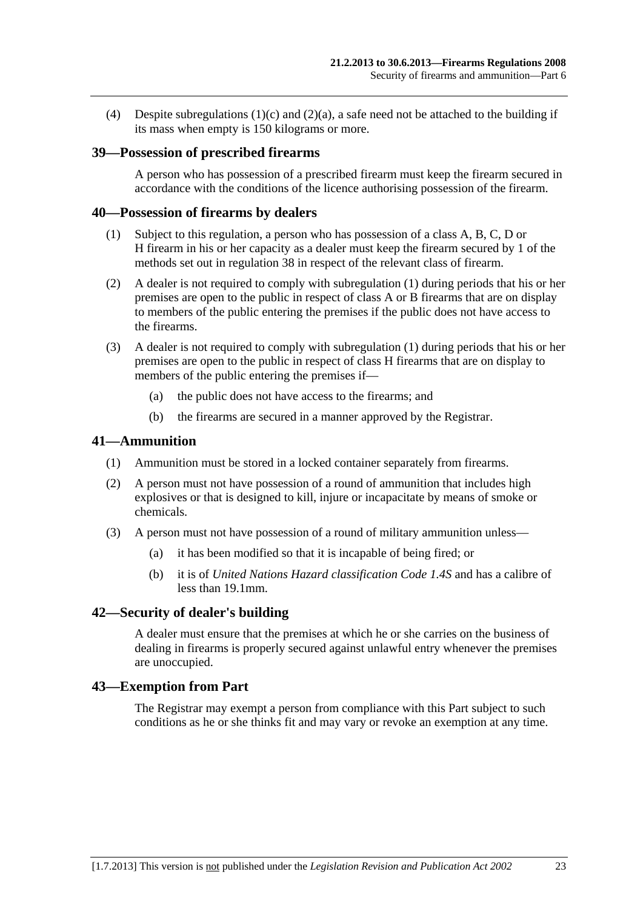<span id="page-22-0"></span>(4) Despite subregulations  $(1)(c)$  and  $(2)(a)$ , a safe need not be attached to the building if its mass when empty is 150 kilograms or more.

#### **39—Possession of prescribed firearms**

A person who has possession of a prescribed firearm must keep the firearm secured in accordance with the conditions of the licence authorising possession of the firearm.

#### **40—Possession of firearms by dealers**

- (1) Subject to this regulation, a person who has possession of a class A, B, C, D or H firearm in his or her capacity as a dealer must keep the firearm secured by 1 of the methods set out in [regulation 38](#page-21-0) in respect of the relevant class of firearm.
- (2) A dealer is not required to comply with [subregulation \(1\)](#page-22-0) during periods that his or her premises are open to the public in respect of class A or B firearms that are on display to members of the public entering the premises if the public does not have access to the firearms.
- (3) A dealer is not required to comply with [subregulation \(1\)](#page-22-0) during periods that his or her premises are open to the public in respect of class H firearms that are on display to members of the public entering the premises if—
	- (a) the public does not have access to the firearms; and
	- (b) the firearms are secured in a manner approved by the Registrar.

#### **41—Ammunition**

- (1) Ammunition must be stored in a locked container separately from firearms.
- (2) A person must not have possession of a round of ammunition that includes high explosives or that is designed to kill, injure or incapacitate by means of smoke or chemicals.
- (3) A person must not have possession of a round of military ammunition unless—
	- (a) it has been modified so that it is incapable of being fired; or
	- (b) it is of *United Nations Hazard classification Code 1.4S* and has a calibre of less than 19.1mm.

#### **42—Security of dealer's building**

A dealer must ensure that the premises at which he or she carries on the business of dealing in firearms is properly secured against unlawful entry whenever the premises are unoccupied.

#### **43—Exemption from Part**

The Registrar may exempt a person from compliance with this Part subject to such conditions as he or she thinks fit and may vary or revoke an exemption at any time.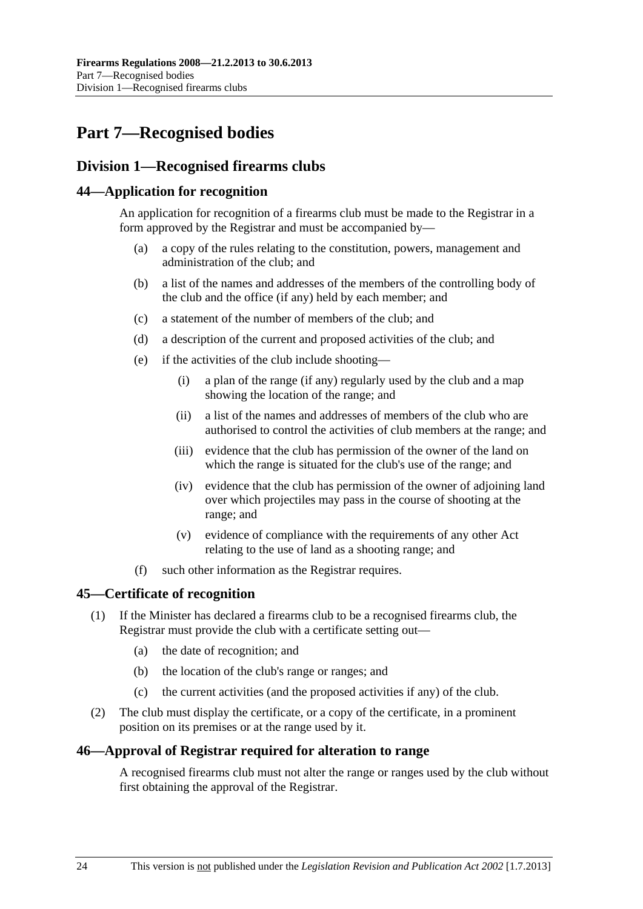# <span id="page-23-0"></span>**Part 7—Recognised bodies**

## **Division 1—Recognised firearms clubs**

#### **44—Application for recognition**

An application for recognition of a firearms club must be made to the Registrar in a form approved by the Registrar and must be accompanied by—

- (a) a copy of the rules relating to the constitution, powers, management and administration of the club; and
- (b) a list of the names and addresses of the members of the controlling body of the club and the office (if any) held by each member; and
- (c) a statement of the number of members of the club; and
- (d) a description of the current and proposed activities of the club; and
- (e) if the activities of the club include shooting—
	- (i) a plan of the range (if any) regularly used by the club and a map showing the location of the range; and
	- (ii) a list of the names and addresses of members of the club who are authorised to control the activities of club members at the range; and
	- (iii) evidence that the club has permission of the owner of the land on which the range is situated for the club's use of the range; and
	- (iv) evidence that the club has permission of the owner of adjoining land over which projectiles may pass in the course of shooting at the range; and
	- (v) evidence of compliance with the requirements of any other Act relating to the use of land as a shooting range; and
- (f) such other information as the Registrar requires.

#### **45—Certificate of recognition**

- (1) If the Minister has declared a firearms club to be a recognised firearms club, the Registrar must provide the club with a certificate setting out—
	- (a) the date of recognition; and
	- (b) the location of the club's range or ranges; and
	- (c) the current activities (and the proposed activities if any) of the club.
- (2) The club must display the certificate, or a copy of the certificate, in a prominent position on its premises or at the range used by it.

#### **46—Approval of Registrar required for alteration to range**

A recognised firearms club must not alter the range or ranges used by the club without first obtaining the approval of the Registrar.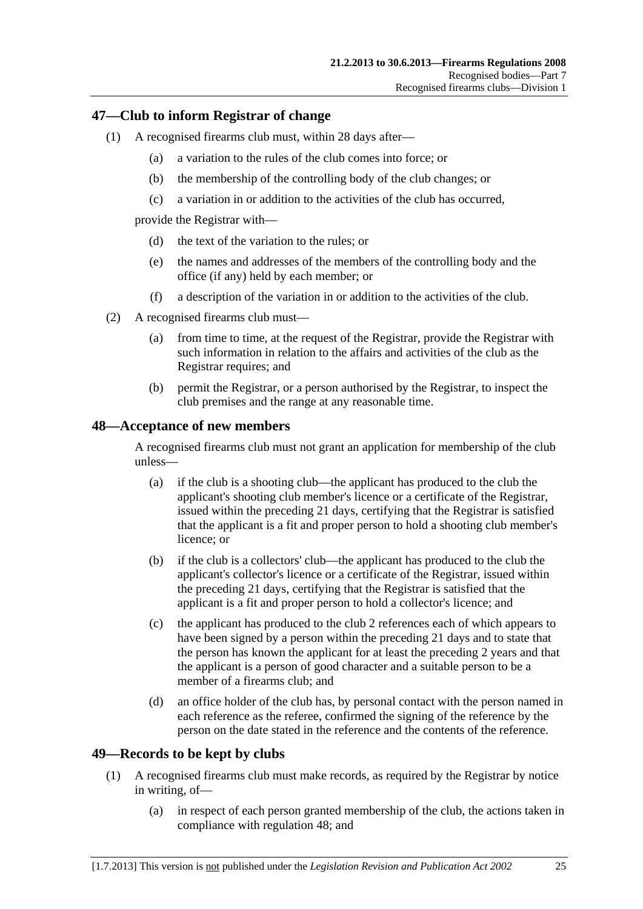#### <span id="page-24-0"></span>**47—Club to inform Registrar of change**

- (1) A recognised firearms club must, within 28 days after—
	- (a) a variation to the rules of the club comes into force; or
	- (b) the membership of the controlling body of the club changes; or
	- (c) a variation in or addition to the activities of the club has occurred,

provide the Registrar with—

- (d) the text of the variation to the rules; or
- (e) the names and addresses of the members of the controlling body and the office (if any) held by each member; or
- (f) a description of the variation in or addition to the activities of the club.
- (2) A recognised firearms club must—
	- (a) from time to time, at the request of the Registrar, provide the Registrar with such information in relation to the affairs and activities of the club as the Registrar requires; and
	- (b) permit the Registrar, or a person authorised by the Registrar, to inspect the club premises and the range at any reasonable time.

#### **48—Acceptance of new members**

A recognised firearms club must not grant an application for membership of the club unless—

- (a) if the club is a shooting club—the applicant has produced to the club the applicant's shooting club member's licence or a certificate of the Registrar, issued within the preceding 21 days, certifying that the Registrar is satisfied that the applicant is a fit and proper person to hold a shooting club member's licence; or
- (b) if the club is a collectors' club—the applicant has produced to the club the applicant's collector's licence or a certificate of the Registrar, issued within the preceding 21 days, certifying that the Registrar is satisfied that the applicant is a fit and proper person to hold a collector's licence; and
- (c) the applicant has produced to the club 2 references each of which appears to have been signed by a person within the preceding 21 days and to state that the person has known the applicant for at least the preceding 2 years and that the applicant is a person of good character and a suitable person to be a member of a firearms club; and
- (d) an office holder of the club has, by personal contact with the person named in each reference as the referee, confirmed the signing of the reference by the person on the date stated in the reference and the contents of the reference.

#### **49—Records to be kept by clubs**

- (1) A recognised firearms club must make records, as required by the Registrar by notice in writing, of—
	- (a) in respect of each person granted membership of the club, the actions taken in compliance with [regulation 48;](#page-24-0) and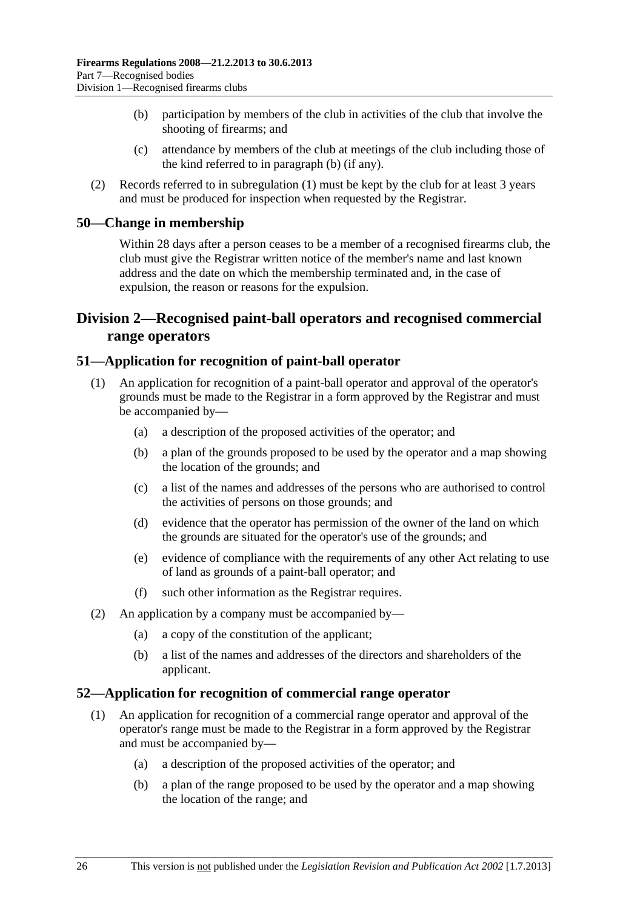- <span id="page-25-0"></span> (b) participation by members of the club in activities of the club that involve the shooting of firearms; and
- (c) attendance by members of the club at meetings of the club including those of the kind referred to in [paragraph \(b\)](#page-25-0) (if any).
- (2) Records referred to in [subregulation \(1\)](#page-24-0) must be kept by the club for at least 3 years and must be produced for inspection when requested by the Registrar.

#### **50—Change in membership**

Within 28 days after a person ceases to be a member of a recognised firearms club, the club must give the Registrar written notice of the member's name and last known address and the date on which the membership terminated and, in the case of expulsion, the reason or reasons for the expulsion.

## **Division 2—Recognised paint-ball operators and recognised commercial range operators**

#### **51—Application for recognition of paint-ball operator**

- (1) An application for recognition of a paint-ball operator and approval of the operator's grounds must be made to the Registrar in a form approved by the Registrar and must be accompanied by—
	- (a) a description of the proposed activities of the operator; and
	- (b) a plan of the grounds proposed to be used by the operator and a map showing the location of the grounds; and
	- (c) a list of the names and addresses of the persons who are authorised to control the activities of persons on those grounds; and
	- (d) evidence that the operator has permission of the owner of the land on which the grounds are situated for the operator's use of the grounds; and
	- (e) evidence of compliance with the requirements of any other Act relating to use of land as grounds of a paint-ball operator; and
	- (f) such other information as the Registrar requires.
- (2) An application by a company must be accompanied by—
	- (a) a copy of the constitution of the applicant;
	- (b) a list of the names and addresses of the directors and shareholders of the applicant.

#### **52—Application for recognition of commercial range operator**

- (1) An application for recognition of a commercial range operator and approval of the operator's range must be made to the Registrar in a form approved by the Registrar and must be accompanied by—
	- (a) a description of the proposed activities of the operator; and
	- (b) a plan of the range proposed to be used by the operator and a map showing the location of the range; and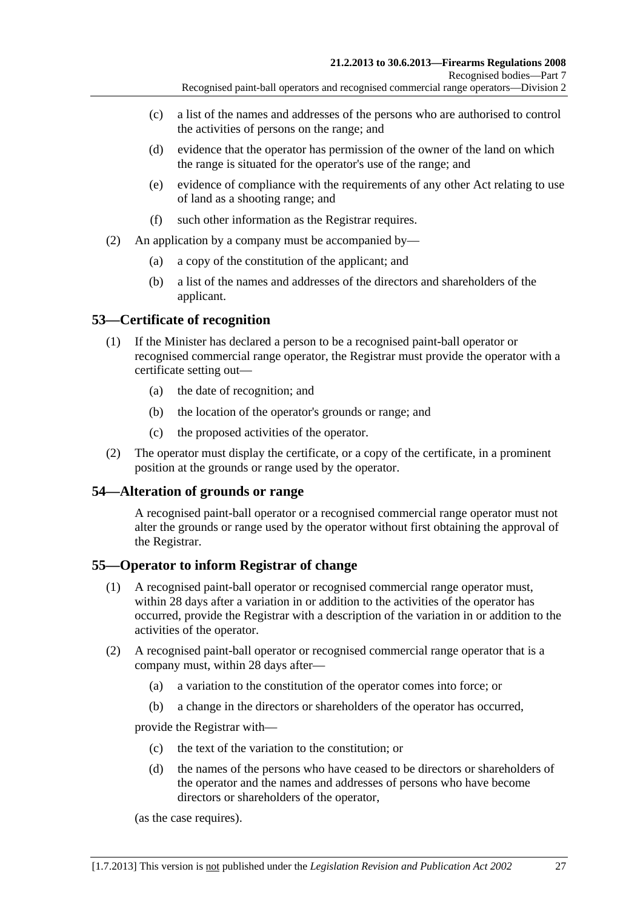- <span id="page-26-0"></span> (c) a list of the names and addresses of the persons who are authorised to control the activities of persons on the range; and
- (d) evidence that the operator has permission of the owner of the land on which the range is situated for the operator's use of the range; and
- (e) evidence of compliance with the requirements of any other Act relating to use of land as a shooting range; and
- (f) such other information as the Registrar requires.
- (2) An application by a company must be accompanied by—
	- (a) a copy of the constitution of the applicant; and
	- (b) a list of the names and addresses of the directors and shareholders of the applicant.

### **53—Certificate of recognition**

- (1) If the Minister has declared a person to be a recognised paint-ball operator or recognised commercial range operator, the Registrar must provide the operator with a certificate setting out—
	- (a) the date of recognition; and
	- (b) the location of the operator's grounds or range; and
	- (c) the proposed activities of the operator.
- (2) The operator must display the certificate, or a copy of the certificate, in a prominent position at the grounds or range used by the operator.

#### **54—Alteration of grounds or range**

A recognised paint-ball operator or a recognised commercial range operator must not alter the grounds or range used by the operator without first obtaining the approval of the Registrar.

#### **55—Operator to inform Registrar of change**

- (1) A recognised paint-ball operator or recognised commercial range operator must, within 28 days after a variation in or addition to the activities of the operator has occurred, provide the Registrar with a description of the variation in or addition to the activities of the operator.
- (2) A recognised paint-ball operator or recognised commercial range operator that is a company must, within 28 days after—
	- (a) a variation to the constitution of the operator comes into force; or
	- (b) a change in the directors or shareholders of the operator has occurred,

provide the Registrar with—

- (c) the text of the variation to the constitution; or
- (d) the names of the persons who have ceased to be directors or shareholders of the operator and the names and addresses of persons who have become directors or shareholders of the operator,

(as the case requires).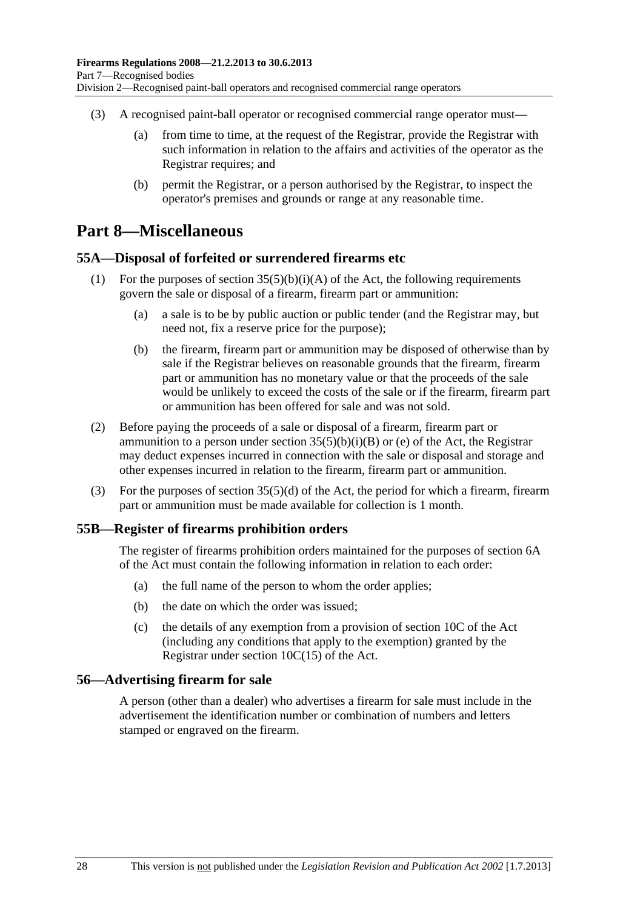- <span id="page-27-0"></span> (3) A recognised paint-ball operator or recognised commercial range operator must—
	- (a) from time to time, at the request of the Registrar, provide the Registrar with such information in relation to the affairs and activities of the operator as the Registrar requires; and
	- (b) permit the Registrar, or a person authorised by the Registrar, to inspect the operator's premises and grounds or range at any reasonable time.

## **Part 8—Miscellaneous**

#### **55A—Disposal of forfeited or surrendered firearms etc**

- (1) For the purposes of section  $35(5)(b)(i)(A)$  of the Act, the following requirements govern the sale or disposal of a firearm, firearm part or ammunition:
	- (a) a sale is to be by public auction or public tender (and the Registrar may, but need not, fix a reserve price for the purpose);
	- (b) the firearm, firearm part or ammunition may be disposed of otherwise than by sale if the Registrar believes on reasonable grounds that the firearm, firearm part or ammunition has no monetary value or that the proceeds of the sale would be unlikely to exceed the costs of the sale or if the firearm, firearm part or ammunition has been offered for sale and was not sold.
- (2) Before paying the proceeds of a sale or disposal of a firearm, firearm part or ammunition to a person under section  $35(5)(b)(i)(B)$  or (e) of the Act, the Registrar may deduct expenses incurred in connection with the sale or disposal and storage and other expenses incurred in relation to the firearm, firearm part or ammunition.
- (3) For the purposes of section 35(5)(d) of the Act, the period for which a firearm, firearm part or ammunition must be made available for collection is 1 month.

#### **55B—Register of firearms prohibition orders**

The register of firearms prohibition orders maintained for the purposes of section 6A of the Act must contain the following information in relation to each order:

- (a) the full name of the person to whom the order applies;
- (b) the date on which the order was issued;
- (c) the details of any exemption from a provision of section 10C of the Act (including any conditions that apply to the exemption) granted by the Registrar under section 10C(15) of the Act.

#### **56—Advertising firearm for sale**

A person (other than a dealer) who advertises a firearm for sale must include in the advertisement the identification number or combination of numbers and letters stamped or engraved on the firearm.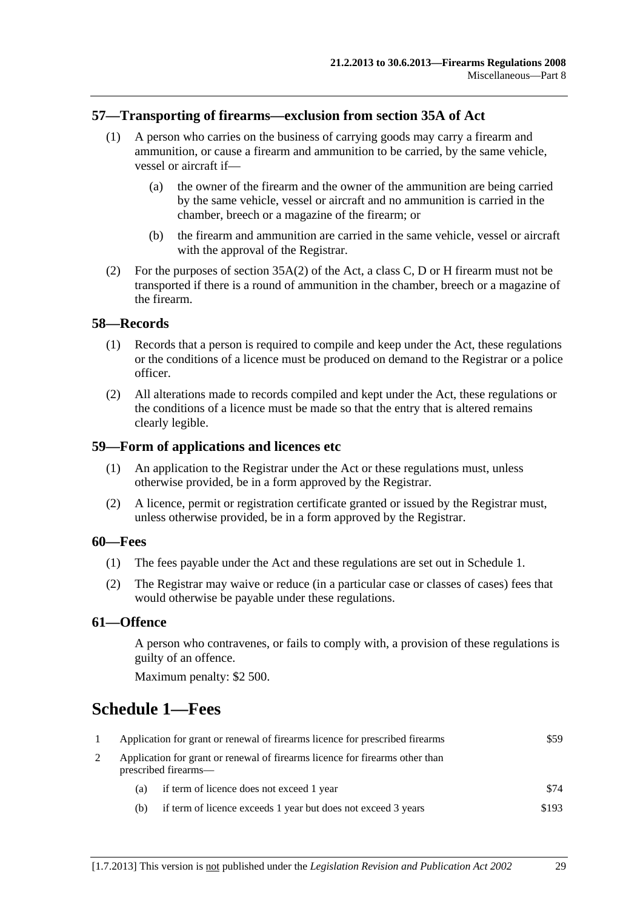#### <span id="page-28-0"></span>**57—Transporting of firearms—exclusion from section 35A of Act**

- (1) A person who carries on the business of carrying goods may carry a firearm and ammunition, or cause a firearm and ammunition to be carried, by the same vehicle, vessel or aircraft if—
	- (a) the owner of the firearm and the owner of the ammunition are being carried by the same vehicle, vessel or aircraft and no ammunition is carried in the chamber, breech or a magazine of the firearm; or
	- (b) the firearm and ammunition are carried in the same vehicle, vessel or aircraft with the approval of the Registrar.
- (2) For the purposes of section 35A(2) of the Act, a class C, D or H firearm must not be transported if there is a round of ammunition in the chamber, breech or a magazine of the firearm.

#### **58—Records**

- (1) Records that a person is required to compile and keep under the Act, these regulations or the conditions of a licence must be produced on demand to the Registrar or a police officer.
- (2) All alterations made to records compiled and kept under the Act, these regulations or the conditions of a licence must be made so that the entry that is altered remains clearly legible.

#### **59—Form of applications and licences etc**

- (1) An application to the Registrar under the Act or these regulations must, unless otherwise provided, be in a form approved by the Registrar.
- (2) A licence, permit or registration certificate granted or issued by the Registrar must, unless otherwise provided, be in a form approved by the Registrar.

#### **60—Fees**

- (1) The fees payable under the Act and these regulations are set out in [Schedule 1.](#page-28-0)
- (2) The Registrar may waive or reduce (in a particular case or classes of cases) fees that would otherwise be payable under these regulations.

#### **61—Offence**

A person who contravenes, or fails to comply with, a provision of these regulations is guilty of an offence.

Maximum penalty: \$2 500.

# **Schedule 1—Fees**

| Application for grant or renewal of firearms licence for prescribed firearms                         |                                                               | \$59  |
|------------------------------------------------------------------------------------------------------|---------------------------------------------------------------|-------|
| Application for grant or renewal of firearms licence for firearms other than<br>prescribed firearms— |                                                               |       |
| (a)                                                                                                  | if term of licence does not exceed 1 year                     | \$74  |
| (b)                                                                                                  | if term of licence exceeds 1 year but does not exceed 3 years | \$193 |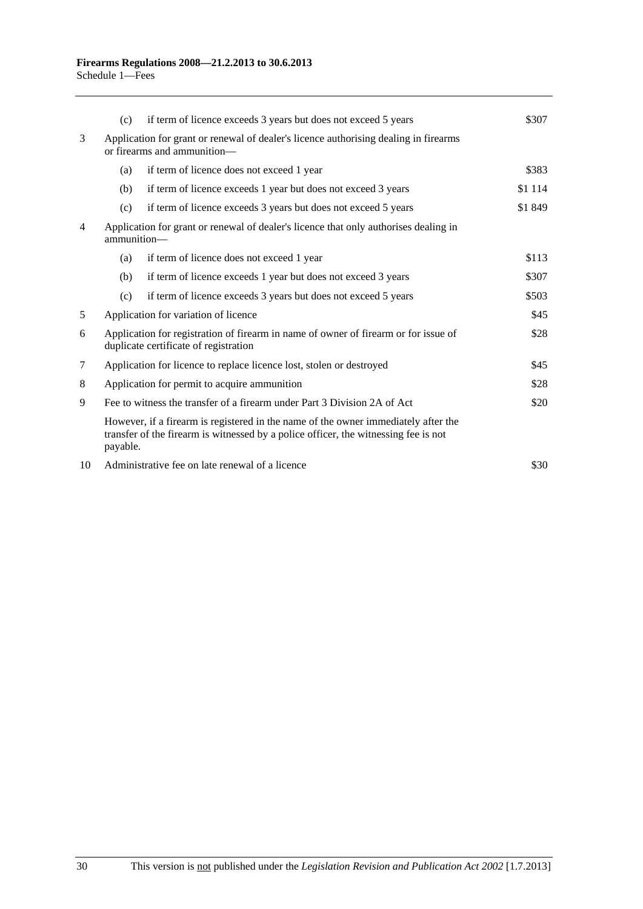|        | (c)                                                                                                                          | if term of licence exceeds 3 years but does not exceed 5 years                                                                                                            | \$307   |
|--------|------------------------------------------------------------------------------------------------------------------------------|---------------------------------------------------------------------------------------------------------------------------------------------------------------------------|---------|
| 3      | Application for grant or renewal of dealer's licence authorising dealing in firearms<br>or firearms and ammunition—          |                                                                                                                                                                           |         |
|        | (a)                                                                                                                          | if term of licence does not exceed 1 year                                                                                                                                 | \$383   |
|        | (b)                                                                                                                          | if term of licence exceeds 1 year but does not exceed 3 years                                                                                                             | \$1 114 |
|        | (c)                                                                                                                          | if term of licence exceeds 3 years but does not exceed 5 years                                                                                                            | \$1849  |
| 4      | Application for grant or renewal of dealer's licence that only authorises dealing in<br>ammunition-                          |                                                                                                                                                                           |         |
|        | (a)                                                                                                                          | if term of licence does not exceed 1 year                                                                                                                                 | \$113   |
|        | (b)                                                                                                                          | if term of licence exceeds 1 year but does not exceed 3 years                                                                                                             | \$307   |
|        | (c)                                                                                                                          | if term of licence exceeds 3 years but does not exceed 5 years                                                                                                            | \$503   |
| 5      |                                                                                                                              | Application for variation of licence                                                                                                                                      | \$45    |
| 6      | Application for registration of firearm in name of owner of firearm or for issue of<br>duplicate certificate of registration |                                                                                                                                                                           | \$28    |
| $\tau$ | Application for licence to replace licence lost, stolen or destroyed                                                         |                                                                                                                                                                           | \$45    |
| 8      | Application for permit to acquire ammunition                                                                                 |                                                                                                                                                                           | \$28    |
| 9      | Fee to witness the transfer of a firearm under Part 3 Division 2A of Act                                                     |                                                                                                                                                                           | \$20    |
|        | payable.                                                                                                                     | However, if a firearm is registered in the name of the owner immediately after the<br>transfer of the firearm is witnessed by a police officer, the witnessing fee is not |         |
| 10     |                                                                                                                              | Administrative fee on late renewal of a licence                                                                                                                           | \$30    |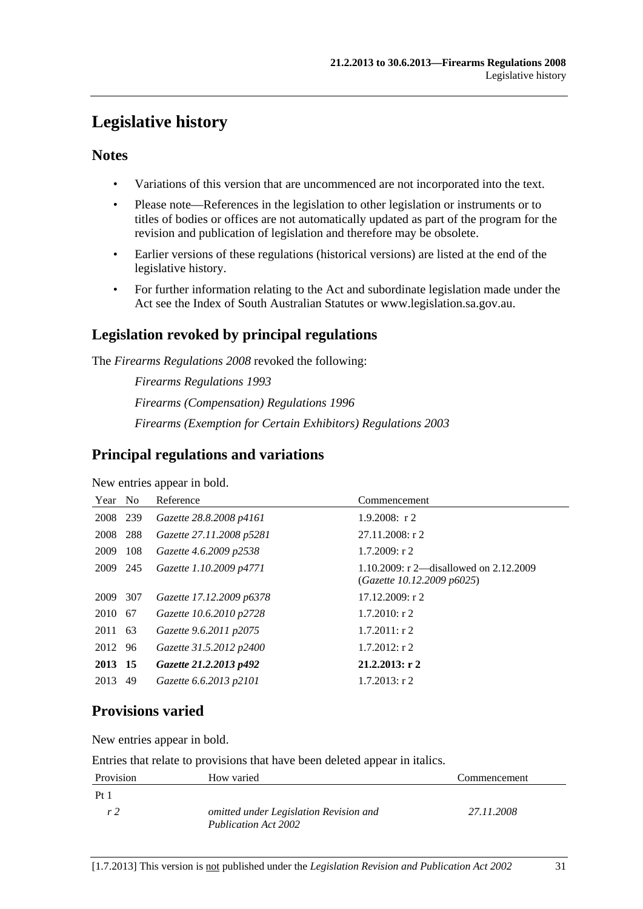# <span id="page-30-0"></span>**Legislative history**

### **Notes**

- Variations of this version that are uncommenced are not incorporated into the text.
- Please note—References in the legislation to other legislation or instruments or to titles of bodies or offices are not automatically updated as part of the program for the revision and publication of legislation and therefore may be obsolete.
- Earlier versions of these regulations (historical versions) are listed at the end of the legislative history.
- For further information relating to the Act and subordinate legislation made under the Act see the Index of South Australian Statutes or www.legislation.sa.gov.au.

## **Legislation revoked by principal regulations**

The *Firearms Regulations 2008* revoked the following:

*Firearms Regulations 1993 Firearms (Compensation) Regulations 1996 Firearms (Exemption for Certain Exhibitors) Regulations 2003*

## **Principal regulations and variations**

New entries appear in bold.

| Year     | N <sub>o</sub> | Reference                | Commencement                                                         |
|----------|----------------|--------------------------|----------------------------------------------------------------------|
| 2008 239 |                | Gazette 28.8.2008 p4161  | $1.9.2008$ : r 2                                                     |
| 2008 288 |                | Gazette 27.11.2008 p5281 | $27.11.2008:$ r 2                                                    |
| 2009     | 108            | Gazette 4.6.2009 p2538   | $1.7.2009$ : r 2                                                     |
| 2009 245 |                | Gazette 1.10.2009 p4771  | 1.10.2009: r 2—disallowed on 2.12.2009<br>(Gazette 10.12.2009 p6025) |
| 2009     | 307            | Gazette 17.12.2009 p6378 | 17.12.2009: r 2                                                      |
| 2010 67  |                | Gazette 10.6.2010 p2728  | $1.7.2010$ : r 2                                                     |
| 2011     | - 63           | Gazette 9.6.2011 p2075   | $1.7.2011:$ r 2                                                      |
| 2012     | 96             | Gazette 31.5.2012 p2400  | $1.7.2012$ : r 2                                                     |
| 2013 15  |                | Gazette 21.2.2013 p492   | $21.2.2013:$ r 2                                                     |
| 2013     | 49             | Gazette 6.6.2013 p2101   | $1.7.2013$ : r 2                                                     |

## **Provisions varied**

New entries appear in bold.

Entries that relate to provisions that have been deleted appear in italics.

| Provision       | How varied                                                     | Commencement |
|-----------------|----------------------------------------------------------------|--------------|
| Pt <sub>1</sub> |                                                                |              |
| r 2             | omitted under Legislation Revision and<br>Publication Act 2002 | 27.11.2008   |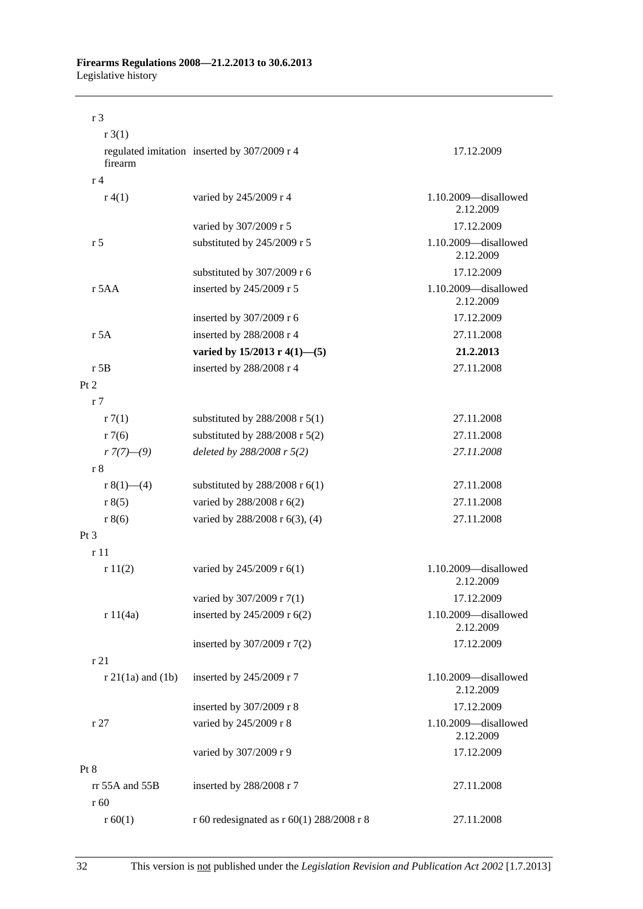#### **Firearms Regulations 2008—21.2.2013 to 30.6.2013**  Legislative history

| r <sub>3</sub>         |                                              |                                   |
|------------------------|----------------------------------------------|-----------------------------------|
| r3(1)                  |                                              |                                   |
| firearm                | regulated imitation inserted by 307/2009 r 4 | 17.12.2009                        |
| r <sub>4</sub>         |                                              |                                   |
| r(4(1))                | varied by 245/2009 r 4                       | 1.10.2009-disallowed<br>2.12.2009 |
|                        | varied by 307/2009 r 5                       | 17.12.2009                        |
| r <sub>5</sub>         | substituted by 245/2009 r 5                  | 1.10.2009-disallowed<br>2.12.2009 |
|                        | substituted by 307/2009 r 6                  | 17.12.2009                        |
| r 5AA                  | inserted by 245/2009 r 5                     | 1.10.2009-disallowed<br>2.12.2009 |
|                        | inserted by 307/2009 r 6                     | 17.12.2009                        |
| r 5A                   | inserted by 288/2008 r 4                     | 27.11.2008                        |
|                        | varied by $15/2013$ r 4(1)–(5)               | 21.2.2013                         |
| $r$ 5B                 | inserted by 288/2008 r 4                     | 27.11.2008                        |
| Pt 2                   |                                              |                                   |
| r <sub>7</sub>         |                                              |                                   |
| r7(1)                  | substituted by $288/2008$ r $5(1)$           | 27.11.2008                        |
| r7(6)                  | substituted by $288/2008$ r $5(2)$           | 27.11.2008                        |
| $r \frac{7}{7}(-9)$    | deleted by 288/2008 r 5(2)                   | 27.11.2008                        |
| r 8                    |                                              |                                   |
| r $8(1)$ — $(4)$       | substituted by $288/2008$ r $6(1)$           | 27.11.2008                        |
| r 8(5)                 | varied by 288/2008 r 6(2)                    | 27.11.2008                        |
| r 8(6)                 | varied by 288/2008 r 6(3), (4)               | 27.11.2008                        |
| Pt 3                   |                                              |                                   |
| r11                    |                                              |                                   |
| r11(2)                 | varied by 245/2009 r 6(1)                    | 1.10.2009-disallowed<br>2.12.2009 |
|                        | varied by 307/2009 r 7(1)                    | 17.12.2009                        |
| r 11(4a)               | inserted by 245/2009 r 6(2)                  | 1.10.2009-disallowed<br>2.12.2009 |
|                        | inserted by 307/2009 r 7(2)                  | 17.12.2009                        |
| r 21                   |                                              |                                   |
| $r 21(1a)$ and $(1b)$  | inserted by 245/2009 r 7                     | 1.10.2009-disallowed<br>2.12.2009 |
|                        | inserted by 307/2009 r 8                     | 17.12.2009                        |
| r27                    | varied by 245/2009 r 8                       | 1.10.2009-disallowed<br>2.12.2009 |
|                        | varied by 307/2009 r 9                       | 17.12.2009                        |
| Pt 8                   |                                              |                                   |
| rr 55A and 55B<br>r 60 | inserted by 288/2008 r 7                     | 27.11.2008                        |
| r 60(1)                | r 60 redesignated as r 60(1) 288/2008 r 8    | 27.11.2008                        |